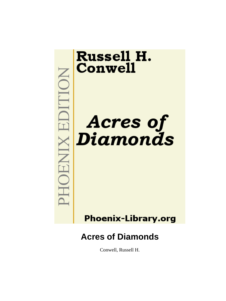

# **Phoenix-Library.org**

# **Acres of Diamonds**

Conwell, Russell H.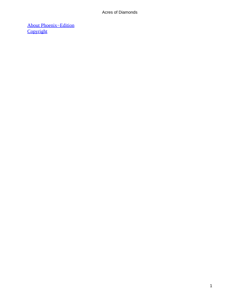[About Phoenix−Edition](#page-81-0) **[Copyright](#page-84-0)**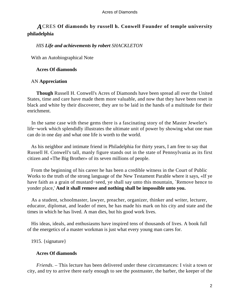## *A*CRES **Of diamonds by russell h. Conwell Founder of temple university philadelphia**

## *HIS Life and achievements by robert SHACKLETON*

With an Autobiographical Note

## **Acres Of diamonds**

## AN **Appreciation**

**Though** Russell H. Conwell's Acres of Diamonds have been spread all over the United States, time and care have made them more valuable, and now that they have been reset in black and white by their discoverer, they are to be laid in the hands of a multitude for their enrichment.

 In the same case with these gems there is a fascinating story of the Master Jeweler's life−work which splendidly illustrates the ultimate unit of power by showing what one man can do in one day and what one life is worth to the world.

 As his neighbor and intimate friend in Philadelphia for thirty years, I am free to say that Russell H. Conwell's tall, manly figure stands out in the state of Pennsylvania as its first citizen and «The Big Brother» of its seven millions of people.

 From the beginning of his career he has been a credible witness in the Court of Public Works to the truth of the strong language of the New Testament Parable where it says, «If ye have faith as a grain of mustard−seed, ye shall say unto this mountain, `Remove hence to yonder place,' **And it shall remove and nothing shall be impossible unto you.**

 As a student, schoolmaster, lawyer, preacher, organizer, thinker and writer, lecturer, educator, diplomat, and leader of men, he has made his mark on his city and state and the times in which he has lived. A man dies, but his good work lives.

 His ideas, ideals, and enthusiasms have inspired tens of thousands of lives. A book full of the energetics of a master workman is just what every young man cares for.

1915. {signature}

## **Acres Of diamonds**

*Friends*. – This lecture has been delivered under these circumstances: I visit a town or city, and try to arrive there early enough to see the postmaster, the barber, the keeper of the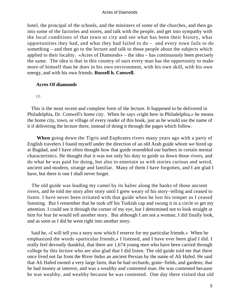hotel, the principal of the schools, and the ministers of some of the churches, and then go into some of the factories and stores, and talk with the people, and get into sympathy with the local conditions of that town or city and see what has been their history, what opportunities they had, and what they had failed to do – and every town fails to do something – and then go to the lecture and talk to those people about the subjects which applied to their locality. «Acres of Diamonds» – the idea – has continuously been precisely the same. The idea is that in this country of ours every man has the opportunity to make more of himself than he does in his own environment, with his own skill, with his own energy, and with his own friends. **Russell h. Conwell.**

#### **Acres Of diamonds**

[1]

 This is the most recent and complete form of the lecture. It happened to be delivered in Philadelphia, Dr. Conwell's home city. When he says «right here in Philadelphia,» he means the home city, town, or village of every reader of this book, just as he would use the name of it if delivering the lecture there, instead of doing it through the pages which follow.

**When** going down the Tigris and Euphrates rivers many years ago with a party of English travelers I found myself under the direction of an old Arab guide whom we hired up at Bagdad, and I have often thought how that guide resembled our barbers in certain mental characteristics. He thought that it was not only his duty to guide us down those rivers, and do what he was paid for doing, but also to entertain us with stories curious and weird, ancient and modern, strange and familiar. Many of them I have forgotten, and I am glad I have, but there is one I shall never forget.

 The old guide was leading my camel by its halter along the banks of those ancient rivers, and he told me story after story until I grew weary of his story−telling and ceased to listen. I have never been irritated with that guide when he lost his temper as I ceased listening. But I remember that he took off his Turkish cap and swung it in a circle to get my attention. I could see it through the corner of my eye, but I determined not to look straight at him for fear he would tell another story. But although I am not a woman, I did finally look, and as soon as I did he went right into another story.

 Said he, «I will tell you a story now which I reserve for my particular friends.» When he emphasized the words «particular friends,» I listened, and I have ever been glad I did. I really feel devoutly thankful, that there are 1,674 young men who have been carried through college by this lecture who are also glad that I did listen. The old guide told me that there once lived not far from the River Indus an ancient Persian by the name of Ali Hafed. He said that Ali Hafed owned a very large farm, that he had orchards, grain−fields, and gardens; that he had money at interest, and was a wealthy and contented man. He was contented because he was wealthy, and wealthy because he was contented. One day there visited that old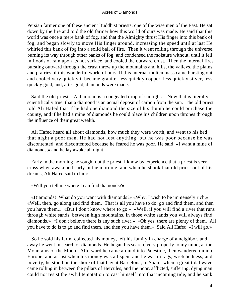Persian farmer one of these ancient Buddhist priests, one of the wise men of the East. He sat down by the fire and told the old farmer how this world of ours was made. He said that this world was once a mere bank of fog, and that the Almighty thrust His finger into this bank of fog, and began slowly to move His finger around, increasing the speed until at last He whirled this bank of fog into a solid ball of fire. Then it went rolling through the universe, burning its way through other banks of fog, and condensed the moisture without, until it fell in floods of rain upon its hot surface, and cooled the outward crust. Then the internal fires bursting outward through the crust threw up the mountains and hills, the valleys, the plains and prairies of this wonderful world of ours. If this internal molten mass came bursting out and cooled very quickly it became granite; less quickly copper, less quickly silver, less quickly gold, and, after gold, diamonds were made.

 Said the old priest, «A diamond is a congealed drop of sunlight.» Now that is literally scientifically true, that a diamond is an actual deposit of carbon from the sun. The old priest told Ali Hafed that if he had one diamond the size of his thumb he could purchase the county, and if he had a mine of diamonds he could place his children upon thrones through the influence of their great wealth.

 Ali Hafed heard all about diamonds, how much they were worth, and went to his bed that night a poor man. He had not lost anything, but he was poor because he was discontented, and discontented because he feared he was poor. He said, «I want a mine of diamonds,» and he lay awake all night.

 Early in the morning he sought out the priest. I know by experience that a priest is very cross when awakened early in the morning, and when he shook that old priest out of his dreams, Ali Hafed said to him:

«Will you tell me where I can find diamonds?»

 «Diamonds! What do you want with diamonds?» «Why, I wish to be immensely rich.» «Well, then, go along and find them. That is all you have to do; go and find them, and then you have them.» «But I don't know where to go.» «Well, if you will find a river that runs through white sands, between high mountains, in those white sands you will always find diamonds.» «I don't believe there is any such river.» «Oh yes, there are plenty of them. All you have to do is to go and find them, and then you have them.» Said Ali Hafed, «I will go.»

 So he sold his farm, collected his money, left his family in charge of a neighbor, and away he went in search of diamonds. He began his search, very properly to my mind, at the Mountains of the Moon. Afterward he came around into Palestine, then wandered on into Europe, and at last when his money was all spent and he was in rags, wretchedness, and poverty, he stood on the shore of that bay at Barcelona, in Spain, when a great tidal wave came rolling in between the pillars of Hercules, and the poor, afflicted, suffering, dying man could not resist the awful temptation to cast himself into that incoming tide, and he sank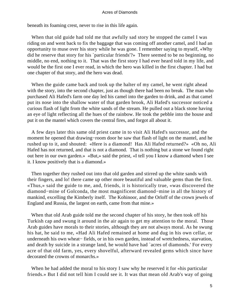beneath its foaming crest, never to rise in this life again.

 When that old guide had told me that awfully sad story he stopped the camel I was riding on and went back to fix the baggage that was coming off another camel, and I had an opportunity to muse over his story while he was gone. I remember saying to myself, «Why did he reserve that story for his `particular friends'?» There seemed to be no beginning, no middle, no end, nothing to it. That was the first story I had ever heard told in my life, and would be the first one I ever read, in which the hero was killed in the first chapter. I had but one chapter of that story, and the hero was dead.

When the guide came back and took up the halter of my camel, he went right ahead with the story, into the second chapter, just as though there had been no break. The man who purchased Ali Hafed's farm one day led his camel into the garden to drink, and as that camel put its nose into the shallow water of that garden brook, Ali Hafed's successor noticed a curious flash of light from the white sands of the stream. He pulled out a black stone having an eye of light reflecting all the hues of the rainbow. He took the pebble into the house and put it on the mantel which covers the central fires, and forgot all about it.

 A few days later this same old priest came in to visit Ali Hafed's successor, and the moment he opened that drawing−room door he saw that flash of light on the mantel, and he rushed up to it, and shouted: «Here is a diamond! Has Ali Hafed returned?» «Oh no, Ali Hafed has not returned, and that is not a diamond. That is nothing but a stone we found right out here in our own garden.» «But,» said the priest, «I tell you I know a diamond when I see it. I know positively that is a diamond.»

 Then together they rushed out into that old garden and stirred up the white sands with their fingers, and lo! there came up other more beautiful and valuable gems than the first. «Thus,» said the guide to me, and, friends, it is historically true, «was discovered the diamond−mine of Golconda, the most magnificent diamond−mine in all the history of mankind, excelling the Kimberly itself. The Kohinoor, and the Orloff of the crown jewels of England and Russia, the largest on earth, came from that mine.»

 When that old Arab guide told me the second chapter of his story, he then took off his Turkish cap and swung it around in the air again to get my attention to the moral. Those Arab guides have morals to their stories, although they are not always moral. As he swung his hat, he said to me, «Had Ali Hafed remained at home and dug in his own cellar, or underneath his own wheat− fields, or in his own garden, instead of wretchedness, starvation, and death by suicide in a strange land, he would have had `acres of diamonds.' For every acre of that old farm, yes, every shovelful, afterward revealed gems which since have decorated the crowns of monarchs.»

When he had added the moral to his story I saw why he reserved it for «his particular friends.» But I did not tell him I could see it. It was that mean old Arab's way of going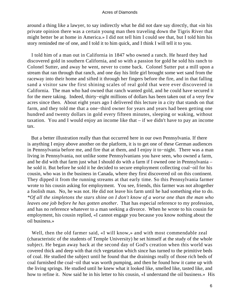around a thing like a lawyer, to say indirectly what he did not dare say directly, that «in his private opinion there was a certain young man then traveling down the Tigris River that might better be at home in America.» I did not tell him I could see that, but I told him his story reminded me of one, and I told it to him quick, and I think I will tell it to you.

 I told him of a man out in California in 1847 who owned a ranch. He heard they had discovered gold in southern California, and so with a passion for gold he sold his ranch to Colonel Sutter, and away he went, never to come back. Colonel Sutter put a mill upon a stream that ran through that ranch, and one day his little girl brought some wet sand from the raceway into their home and sifted it through her fingers before the fire, and in that falling sand a visitor saw the first shining scales of real gold that were ever discovered in California. The man who had owned that ranch wanted gold, and he could have secured it for the mere taking. Indeed, thirty−eight millions of dollars has been taken out of a very few acres since then. About eight years ago I delivered this lecture in a city that stands on that farm, and they told me that a one−third owner for years and years had been getting one hundred and twenty dollars in gold every fifteen minutes, sleeping or waking, without taxation. You and I would enjoy an income like that – if we didn't have to pay an income tax.

 But a better illustration really than that occurred here in our own Pennsylvania. If there is anything I enjoy above another on the platform, it is to get one of these German audiences in Pennsylvania before me, and fire that at them, and I enjoy it to−night. There was a man living in Pennsylvania, not unlike some Pennsylvanians you have seen, who owned a farm, and he did with that farm just what I should do with a farm if I owned one in Pennsylvania – he sold it. But before he sold it he decided to secure employment collecting coal−oil for his cousin, who was in the business in Canada, where they first discovered oil on this continent. They dipped it from the running streams at that early time. So this Pennsylvania farmer wrote to his cousin asking for employment. You see, friends, this farmer was not altogether a foolish man. No, he was not. He did not leave his farm until he had something else to do. *\*Of all the simpletons the stars shine on I don't know of a worse one than the man who leaves one job before he has gotten another*. That has especial reference to my profession, and has no reference whatever to a man seeking a divorce. When he wrote to his cousin for employment, his cousin replied, «I cannot engage you because you know nothing about the oil business.»

 Well, then the old farmer said, «I will know,» and with most commendable zeal (characteristic of the students of Temple University) he set himself at the study of the whole subject. He began away back at the second day of God's creation when this world was covered thick and deep with that rich vegetation which since has turned to the primitive beds of coal. He studied the subject until he found that the drainings really of those rich beds of coal furnished the coal−oil that was worth pumping, and then he found how it came up with the living springs. He studied until he knew what it looked like, smelled like, tasted like, and how to refine it. Now said he in his letter to his cousin, «I understand the oil business.» His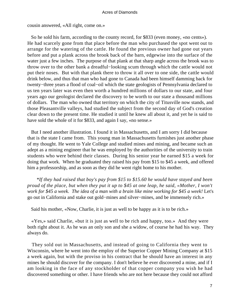cousin answered, «All right, come on.»

 So he sold his farm, according to the county record, for \$833 (even money, «no cents»). He had scarcely gone from that place before the man who purchased the spot went out to arrange for the watering of the cattle. He found the previous owner had gone out years before and put a plank across the brook back of the barn, edgewise into the surface of the water just a few inches. The purpose of that plank at that sharp angle across the brook was to throw over to the other bank a dreadful−looking scum through which the cattle would not put their noses. But with that plank there to throw it all over to one side, the cattle would drink below, and thus that man who had gone to Canada had been himself damming back for twenty−three years a flood of coal−oil which the state geologists of Pennsylvania declared to us ten years later was even then worth a hundred millions of dollars to our state, and four years ago our geologist declared the discovery to be worth to our state a thousand millions of dollars. The man who owned that territory on which the city of Titusville now stands, and those Pleasantville valleys, had studied the subject from the second day of God's creation clear down to the present time. He studied it until he knew all about it, and yet he is said to have sold the whole of it for \$833, and again I say, «no sense.»

 But I need another illustration. I found it in Massachusetts, and I am sorry I did because that is the state I came from. This young man in Massachusetts furnishes just another phase of my thought. He went to Yale College and studied mines and mining, and became such an adept as a mining engineer that he was employed by the authorities of the university to train students who were behind their classes. During his senior year he earned \$15 a week for doing that work. When he graduated they raised his pay from \$15 to \$45 a week, and offered him a professorship, and as soon as they did he went right home to his mother.

*\*If they had raised that boy's pay from \$15 to \$15.60 he would have stayed and been proud of the place, but when they put it up to \$45 at one leap, he said, «Mother, I won't work for \$45 a week. The idea of a man with a brain like mine working for \$45 a week!* Let's go out in California and stake out gold−mines and silver−mines, and be immensely rich.»

Said his mother, «Now, Charlie, it is just as well to be happy as it is to be rich.»

 «Yes,» said Charlie, «but it is just as well to be rich and happy, too.» And they were both right about it. As he was an only son and she a widow, of course he had his way. They always do.

 They sold out in Massachusetts, and instead of going to California they went to Wisconsin, where he went into the employ of the Superior Copper Mining Company at \$15 a week again, but with the proviso in his contract that he should have an interest in any mines he should discover for the company. I don't believe he ever discovered a mine, and if I am looking in the face of any stockholder of that copper company you wish he had discovered something or other. I have friends who are not here because they could not afford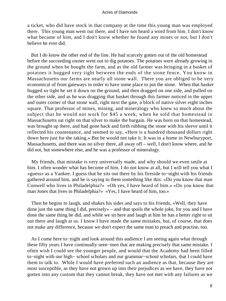a ticket, who did have stock in that company at the time this young man was employed there. This young man went out there, and I have not heard a word from him. I don't know what became of him, and I don't know whether he found any mines or not, but I don't believe he ever did.

 But I do know the other end of the line. He had scarcely gotten out of the old homestead before the succeeding owner went out to dig potatoes. The potatoes were already growing in the ground when he bought the farm, and as the old farmer was bringing in a basket of potatoes it hugged very tight between the ends of the stone fence. You know in Massachusetts our farms are nearly all stone wall. There you are obliged to be very economical of front gateways in order to have some place to put the stone. When that basket hugged so tight he set it down on the ground, and then dragged on one side, and pulled on the other side, and as he was dragging that basket through this farmer noticed in the upper and outer corner of that stone wall, right next the gate, a block of native silver eight inches square. That professor of mines, mining, and mineralogy who knew so much about the subject that he would not work for \$45 a week, when he sold that homestead in Massachusetts sat right on that silver to make the bargain. He was born on that homestead, was brought up there, and had gone back and forth rubbing the stone with his sleeve until it reflected his countenance, and seemed to say, «Here is a hundred thousand dollars right down here just for the taking.» But he would not take it. It was in a home in Newburyport, Massachusetts, and there was no silver there, all away off – well, I don't know where, and he did not, but somewhere else, and he was a professor of mineralogy.

 My friends, that mistake is very universally made, and why should we even smile at him. I often wonder what has become of him. I do not know at all, but I will tell you what I «guess» as a Yankee. I guess that he sits out there by his fireside to−night with his friends gathered around him, and he is saying to them something like this: «Do you know that man Conwell who lives in Philadelphia?» «Oh yes, I have heard of him.» «Do you know that man Jones that lives in Philadelphia?» «Yes, I have heard of him, too.»

 Then he begins to laugh, and shakes his sides and says to his friends, «Well, they have done just the same thing I did, precisely» – and that spoils the whole joke, for you and I have done the same thing he did, and while we sit here and laugh at him he has a better right to sit out there and laugh at us. I know I have made the same mistakes, but, of course, that does not make any difference, because we don't expect the same man to preach and practise, too.

 As I come here to−night and look around this audience I am seeing again what through these fifty years I have continually seen−men that are making precisely that same mistake. I often wish I could see the younger people, and would that the Academy had been filled to−night with our high− school scholars and our grammar−school scholars, that I could have them to talk to. While I would have preferred such an audience as that, because they are most susceptible, as they have not grown up into their prejudices as we have, they have not gotten into any custom that they cannot break, they have not met with any failures as we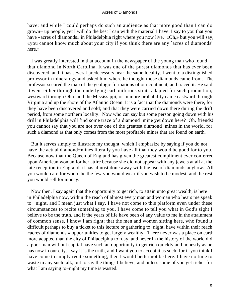have; and while I could perhaps do such an audience as that more good than I can do grown− up people, yet I will do the best I can with the material I have. I say to you that you have «acres of diamonds» in Philadelphia right where you now live. «Oh,» but you will say, «you cannot know much about your city if you think there are any `acres of diamonds' here.»

 I was greatly interested in that account in the newspaper of the young man who found that diamond in North Carolina. It was one of the purest diamonds that has ever been discovered, and it has several predecessors near the same locality. I went to a distinguished professor in mineralogy and asked him where he thought those diamonds came from. The professor secured the map of the geologic formations of our continent, and traced it. He said it went either through the underlying carboniferous strata adapted for such production, westward through Ohio and the Mississippi, or in more probability came eastward through Virginia and up the shore of the Atlantic Ocean. It is a fact that the diamonds were there, for they have been discovered and sold; and that they were carried down there during the drift period, from some northern locality. Now who can say but some person going down with his drill in Philadelphia will find some trace of a diamond−mine yet down here? Oh, friends! you cannot say that you are not over one of the greatest diamond−mines in the world, for such a diamond as that only comes from the most profitable mines that are found on earth.

 But it serves simply to illustrate my thought, which I emphasize by saying if you do not have the actual diamond−mines literally you have all that they would be good for to you. Because now that the Queen of England has given the greatest compliment ever conferred upon American woman for her attire because she did not appear with any jewels at all at the late reception in England, it has almost done away with the use of diamonds anyhow. All you would care for would be the few you would wear if you wish to be modest, and the rest you would sell for money.

 Now then, I say again that the opportunity to get rich, to attain unto great wealth, is here in Philadelphia now, within the reach of almost every man and woman who hears me speak to− night, and I mean just what I say. I have not come to this platform even under these circumstances to recite something to you. I have come to tell you what in God's sight I believe to be the truth, and if the years of life have been of any value to me in the attainment of common sense, I know I am right; that the men and women sitting here, who found it difficult perhaps to buy a ticket to this lecture or gathering to−night, have within their reach «acres of diamonds,» opportunities to get largely wealthy. There never was a place on earth more adapted than the city of Philadelphia to−day, and never in the history of the world did a poor man without capital have such an opportunity to get rich quickly and honestly as he has now in our city. I say it is the truth, and I want you to accept it as such; for if you think I have come to simply recite something, then I would better not be here. I have no time to waste in any such talk, but to say the things I believe, and unless some of you get richer for what I am saying to−night my time is wasted.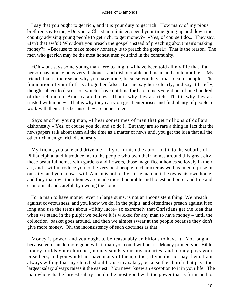I say that you ought to get rich, and it is your duty to get rich. How many of my pious brethren say to me, «Do you, a Christian minister, spend your time going up and down the country advising young people to get rich, to get money?» «Yes, of course I do.» They say, «Isn't that awful! Why don't you preach the gospel instead of preaching about man's making money?» «Because to make money honestly is to preach the gospel.» That is the reason. The men who get rich may be the most honest men you find in the community.

 «Oh,» but says some young man here to−night, «I have been told all my life that if a person has money he is very dishonest and dishonorable and mean and contemptible. «My friend, that is the reason why you have none, because you have that idea of people. The foundation of your faith is altogether false. Let me say here clearly, and say it briefly, though subject to discussion which I have not time for here, ninety−eight out of one hundred of the rich men of America are honest. That is why they are rich. That is why they are trusted with money. That is why they carry on great enterprises and find plenty of people to work with them. It is because they are honest men.

 Says another young man, «I hear sometimes of men that get millions of dollars dishonestly.» Yes, of course you do, and so do I. But they are so rare a thing in fact that the newspapers talk about them all the time as a matter of news until you get the idea that all the other rich men got rich dishonestly.

My friend, you take and drive me – if you furnish the auto – out into the suburbs of Philadelphia, and introduce me to the people who own their homes around this great city, those beautiful homes with gardens and flowers, those magnificent homes so lovely in their art, and I will introduce you to the very best people in character as well as in enterprise in our city, and you know I will. A man is not really a true man until he owns his own home, and they that own their homes are made more honorable and honest and pure, and true and economical and careful, by owning the home.

 For a man to have money, even in large sums, is not an inconsistent thing. We preach against covetousness, and you know we do, in the pulpit, and oftentimes preach against it so long and use the terms about «filthy lucre» so extremely that Christians get the idea that when we stand in the pulpit we believe it is wicked for any man to have money – until the collection−basket goes around, and then we almost swear at the people because they don't give more money. Oh, the inconsistency of such doctrines as that!

 Money is power, and you ought to be reasonably ambitious to have it. You ought because you can do more good with it than you could without it. Money printed your Bible, money builds your churches, money sends your missionaries, and money pays your preachers, and you would not have many of them, either, if you did not pay them. I am always willing that my church should raise my salary, because the church that pays the largest salary always raises it the easiest. You never knew an exception to it in your life. The man who gets the largest salary can do the most good with the power that is furnished to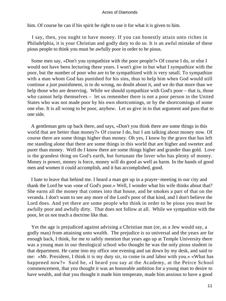him. Of course he can if his spirit be right to use it for what it is given to him.

 I say, then, you ought to have money. If you can honestly attain unto riches in Philadelphia, it is your Christian and godly duty to do so. It is an awful mistake of these pious people to think you must be awfully poor in order to be pious.

 Some men say, «Don't you sympathize with the poor people?» Of course I do, or else I would not have been lecturing these years. I won't give in but what I sympathize with the poor, but the number of poor who are to be sympathized with is very small. To sympathize with a man whom God has punished for his sins, thus to help him when God would still continue a just punishment, is to do wrong, no doubt about it, and we do that more than we help those who are deserving. While we should sympathize with God's poor – that is, those who cannot help themselves – let us remember there is not a poor person in the United States who was not made poor by his own shortcomings, or by the shortcomings of some one else. It is all wrong to be poor, anyhow. Let us give in to that argument and pass that to one side.

 A gentleman gets up back there, and says, «Don't you think there are some things in this world that are better than money?» Of course I do, but I am talking about money now. Of course there are some things higher than money. Oh yes, I know by the grave that has left me standing alone that there are some things in this world that are higher and sweeter and purer than money. Well do I know there are some things higher and grander than gold. Love is the grandest thing on God's earth, but fortunate the lover who has plenty of money. Money is power, money is force, money will do good as well as harm. In the hands of good men and women it could accomplish, and it has accomplished, good.

 I hate to leave that behind me. I heard a man get up in a prayer−meeting in our city and thank the Lord he was «one of God's poor.» Well, I wonder what his wife thinks about that? She earns all the money that comes into that house, and he smokes a part of that on the veranda. I don't want to see any more of the Lord's poor of that kind, and I don't believe the Lord does. And yet there are some people who think in order to be pious you must be awfully poor and awfully dirty. That does not follow at all. While we sympathize with the poor, let us not teach a doctrine like that.

 Yet the age is prejudiced against advising a Christian man (or, as a Jew would say, a godly man) from attaining unto wealth. The prejudice is so universal and the years are far enough back, I think, for me to safely mention that years ago up at Temple University there was a young man in our theological school who thought he was the only pious student in that department. He came into my office one evening and sat down by my desk, and said to me: «Mr. President, I think it is my duty sir, to come in and labor with you.» «What has happened now?» Said he, «I heard you say at the Academy, at the Peirce School commencement, that you thought it was an honorable ambition for a young man to desire to have wealth, and that you thought it made him temperate, made him anxious to have a good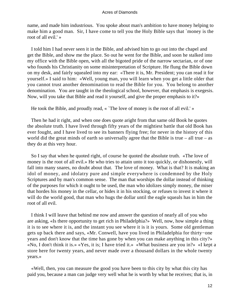name, and made him industrious. You spoke about man's ambition to have money helping to make him a good man. Sir, I have come to tell you the Holy Bible says that `money is the root of all evil.' »

 I told him I had never seen it in the Bible, and advised him to go out into the chapel and get the Bible, and show me the place. So out he went for the Bible, and soon he stalked into my office with the Bible open, with all the bigoted pride of the narrow sectarian, or of one who founds his Christianity on some misinterpretation of Scripture. He flung the Bible down on my desk, and fairly squealed into my ear: «There it is, Mr. President; you can read it for yourself.» I said to him: «Well, young man, you will learn when you get a little older that you cannot trust another denomination to read the Bible for you. You belong to another denomination. You are taught in the theological school, however, that emphasis is exegesis. Now, will you take that Bible and read it yourself, and give the proper emphasis to it?»

He took the Bible, and proudly read, « `The love of money is the root of all evil.' »

 Then he had it right, and when one does quote aright from that same old Book he quotes the absolute truth. I have lived through fifty years of the mightiest battle that old Book has ever fought, and I have lived to see its banners flying free; for never in the history of this world did the great minds of earth so universally agree that the Bible is true – all true – as they do at this very hour.

 So I say that when he quoted right, of course he quoted the absolute truth. «The love of money is the root of all evil.» He who tries to attain unto it too quickly, or dishonestly, will fall into many snares, no doubt about that. The love of money. What is that? It is making an idol of money, and idolatry pure and simple everywhere is condemned by the Holy Scriptures and by man's common sense. The man that worships the dollar instead of thinking of the purposes for which it ought to be used, the man who idolizes simply money, the miser that hordes his money in the cellar, or hides it in his stocking, or refuses to invest it where it will do the world good, that man who hugs the dollar until the eagle squeals has in him the root of all evil.

 I think I will leave that behind me now and answer the question of nearly all of you who are asking, «Is there opportunity to get rich in Philadelphia?» Well, now, how simple a thing it is to see where it is, and the instant you see where it is it is yours. Some old gentleman gets up back there and says, «Mr. Conwell, have you lived in Philadelphia for thirty−one years and don't know that the time has gone by when you can make anything in this city?» «No, I don't think it is.» «Yes, it is; I have tried it.» «What business are you in?» «I kept a store here for twenty years, and never made over a thousand dollars in the whole twenty years.»

 «Well, then, you can measure the good you have been to this city by what this city has paid you, because a man can judge very well what he is worth by what he receives; that is, in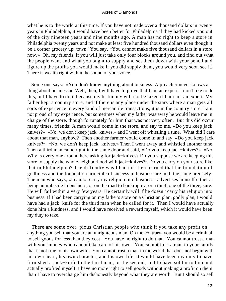what he is to the world at this time. If you have not made over a thousand dollars in twenty years in Philadelphia, it would have been better for Philadelphia if they had kicked you out of the city nineteen years and nine months ago. A man has no right to keep a store in Philadelphia twenty years and not make at least five hundred thousand dollars even though it be a corner grocery up−town.' You say, «You cannot make five thousand dollars in a store now.» Oh, my friends, if you will just take only four blocks around you, and find out what the people want and what you ought to supply and set them down with your pencil and figure up the profits you would make if you did supply them, you would very soon see it. There is wealth right within the sound of your voice.

 Some one says: «You don't know anything about business. A preacher never knows a thing about business.» Well, then, I will have to prove that I am an expert. I don't like to do this, but I have to do it because my testimony will not be taken if I am not an expert. My father kept a country store, and if there is any place under the stars where a man gets all sorts of experience in every kind of mercantile transactions, it is in the country store. I am not proud of my experience, but sometimes when my father was away he would leave me in charge of the store, though fortunately for him that was not very often. But this did occur many times, friends: A man would come in the store, and say to me, «Do you keep jack knives?» «No, we don't keep jack−knives,» and I went off whistling a tune. What did I care about that man, anyhow? Then another farmer would come in and say, «Do you keep jack knives?» «No, we don't keep jack−knives.» Then I went away and whistled another tune. Then a third man came right in the same door and said, «Do you keep jack−knives?» «No. Why is every one around here asking for jack−knives? Do you suppose we are keeping this store to supply the whole neighborhood with jack−knives?» Do you carry on your store like that in Philadelphia? The difficulty was I had not then learned that the foundation of godliness and the foundation principle of success in business are both the same precisely. The man who says, «I cannot carry my religion into business» advertises himself either as being an imbecile in business, or on the road to bankruptcy, or a thief, one of the three, sure. He will fail within a very few years. He certainly will if he doesn't carry his religion into business. If I had been carrying on my father's store on a Christian plan, godly plan, I would have had a jack−knife for the third man when he called for it. Then I would have actually done him a kindness, and I would have received a reward myself, which it would have been my duty to take.

 There are some over−pious Christian people who think if you take any profit on anything you sell that you are an unrighteous man. On the contrary, you would be a criminal to sell goods for less than they cost. You have no right to do that. You cannot trust a man with your money who cannot take care of his own. You cannot trust a man in your family that is not true to his own wife. You cannot trust a man in the world that does not begin with his own heart, his own character, and his own life. It would have been my duty to have furnished a jack−knife to the third man, or the second, and to have sold it to him and actually profited myself. I have no more right to sell goods without making a profit on them than I have to overcharge him dishonestly beyond what they are worth. But I should so sell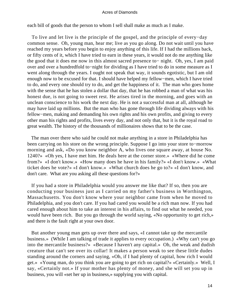each bill of goods that the person to whom I sell shall make as much as I make.

 To live and let live is the principle of the gospel, and the principle of every−day common sense. Oh, young man, hear me; live as you go along. Do not wait until you have reached my years before you begin to enjoy anything of this life. If I had the millions back, or fifty cents of it, which I have tried to earn in these years, it would not do me anything like the good that it does me now in this almost sacred presence to− night. Oh, yes, I am paid over and over a hundredfold to−night for dividing as I have tried to do in some measure as I went along through the years. I ought not speak that way, it sounds egotistic, but I am old enough now to be excused for that. I should have helped my fellow−men, which I have tried to do, and every one should try to do, and get the happiness of it. The man who goes home with the sense that he has stolen a dollar that day, that he has robbed a man of what was his honest due, is not going to sweet rest. He arises tired in the morning, and goes with an unclean conscience to his work the next day. He is not a successful man at all, although he may have laid up millions. But the man who has gone through life dividing always with his fellow−men, making and demanding his own rights and his own profits, and giving to every other man his rights and profits, lives every day, and not only that, but it is the royal road to great wealth. The history of the thousands of millionaires shows that to be the case.

 The man over there who said he could not make anything in a store in Philadelphia has been carrying on his store on the wrong principle. Suppose I go into your store to−morrow morning and ask, «Do you know neighbor A, who lives one square away, at house No. 1240?» «Oh yes, I have met him. He deals here at the corner store.» «Where did he come from?» «I don't know.» «How many does he have in his family?» «I don't know.» «What ticket does he vote?» «I don't know.» «What church does he go to?» «I don't know, and don't care. What are you asking all these questions for?»

 If you had a store in Philadelphia would you answer me like that? If so, then you are conducting your business just as I carried on my father's business in Worthington, Massachusetts. You don't know where your neighbor came from when he moved to Philadelphia, and you don't care. If you had cared you would be a rich man now. If you had cared enough about him to take an interest in his affairs, to find out what he needed, you would have been rich. But you go through the world saying, «No opportunity to get rich,» and there is the fault right at your own door.

 But another young man gets up over there and says, «I cannot take up the mercantile business.» (While I am talking of trade it applies to every occupation.) «Why can't you go into the mercantile business?» «Because I haven't any capital.» Oh, the weak and dudish creature that can't see over its collar! It makes a person weak to see these little dudes standing around the corners and saying, «Oh, if I had plenty of capital, how rich I would get.» «Young man, do you think you are going to get rich on capital?» «Certainly.» Well, I say, «Certainly not.» If your mother has plenty of money, and she will set you up in business, you will «set her up in business,» supplying you with capital.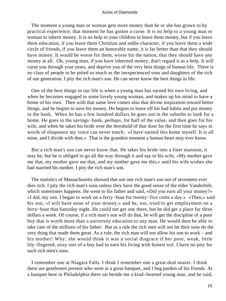The moment a young man or woman gets more money than he or she has grown to by practical experience, that moment he has gotten a curse. It is no help to a young man or woman to inherit money. It is no help to your children to leave them money, but if you leave them education, if you leave them Christian and noble character, if you leave them a wide circle of friends, if you leave them an honorable name, it is far better than that they should have money. It would be worse for them, worse for the nation, that they should have any money at all. Oh, young man, if you have inherited money, don't regard it as a help. It will curse you through your years, and deprive you of the very best things of human life. There is no class of people to be pitied so much as the inexperienced sons and daughters of the rich of our generation. I pity the rich man's son. He can never know the best things in life.

 One of the best things in our life is when a young man has earned his own living, and when he becomes engaged to some lovely young woman, and makes up his mind to have a home of his own. Then with that same love comes also that divine inspiration toward better things, and he begins to save his money. He begins to leave off his bad habits and put money in the bank. When he has a few hundred dollars he goes out in the suburbs to look for a home. He goes to the savings−bank, perhaps, for half of the value, and then goes for his wife, and when he takes his bride over the threshold of that door for the first time he says in words of eloquence my voice can never touch: «I have earned this home myself. It is all mine, and I divide with thee.» That is the grandest moment a human heart may ever know.

 But a rich man's son can never know that. He takes his bride into a finer mansion, it may be, but he is obliged to go all the way through it and say to his wife, «My mother gave me that, my mother gave me that, and my mother gave me this,» until his wife wishes she had married his mother. I pity the rich man's son.

 The statistics of Massachusetts showed that not one rich man's son out of seventeen ever dies rich. I pity the rich man's sons unless they have the good sense of the elder Vanderbilt, which sometimes happens. He went to his father and said, «Did you earn all your money?» «I did, my son. I began to work on a ferry−boat for twenty−five cents a day.» «Then,» said his son, «I will have none of your money,» and he, too, tried to get employment on a ferry−boat that Saturday night. He could not get one there, but he did get a place for three dollars a week. Of course, if a rich man's son will do that, he will get the discipline of a poor boy that is worth more than a university education to any man. He would then be able to take care of the millions of his father. But as a rule the rich men will not let their sons do the very thing that made them great. As a rule, the rich man will not allow his son to work – and his mother! Why, she would think it was a social disgrace if her poor, weak, little lily−fingered, sissy sort of a boy had to earn his living with honest toil. I have no pity for such rich men's sons.

 I remember one at Niagara Falls. I think I remember one a great deal nearer. I think there are gentlemen present who were at a great banquet, and I beg pardon of his friends. At a banquet here in Philadelphia there sat beside me a kind−hearted young man, and he said,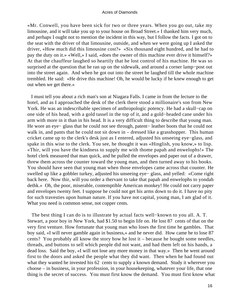«Mr. Conwell, you have been sick for two or three years. When you go out, take my limousine, and it will take you up to your house on Broad Street.» I thanked him very much, and perhaps I ought not to mention the incident in this way, but I follow the facts. I got on to the seat with the driver of that limousine, outside, and when we were going up I asked the driver, «How much did this limousine cost?» «Six thousand eight hundred, and he had to pay the duty on it.» «Well,» I said, «does the owner of this machine ever drive it himself?» At that the chauffeur laughed so heartily that he lost control of his machine. He was so surprised at the question that he ran up on the sidewalk, and around a corner lamp−post out into the street again. And when he got out into the street he laughed till the whole machine trembled. He said: «He drive this machine! Oh, he would be lucky if he knew enough to get out when we get there.»

 I must tell you about a rich man's son at Niagara Falls. I came in from the lecture to the hotel, and as I approached the desk of the clerk there stood a millionaire's son from New York. He was an indescribable specimen of anthropologic potency. He had a skull−cap on one side of his head, with a gold tassel in the top of it, and a gold−headed cane under his arm with more in it than in his head. It is a very difficult thing to describe that young man. He wore an eye− glass that he could not see through, patent− leather boots that he could not walk in, and pants that he could not sit down in – dressed like a grasshopper. This human cricket came up to the clerk's desk just as I entered, adjusted his unseeing eye−glass, and spake in this wise to the clerk. You see, he thought it was «Hinglish, you know,» to lisp. «Thir, will you have the kindness to supply me with thome papah and enwelophs!» The hotel clerk measured that man quick, and he pulled the envelopes and paper out of a drawer, threw them across the counter toward the young man, and then turned away to his books. You should have seen that young man when those envelopes came across that counter. He swelled up like a gobbler turkey, adjusted his unseeing eye− glass, and yelled: «Come right back here. Now thir, will you order a thervant to take that papah and enwelophs to yondah dethk.» Oh, the poor, miserable, contemptible American monkey! He could not carry paper and envelopes twenty feet. I suppose he could not get his arms down to do it. I have no pity for such travesties upon human nature. If you have not capital, young man, I am glad of it. What you need is common sense, not copper cents.

 The best thing I can do is to illustrate by actual facts well−known to you all. A. T. Stewart, a poor boy in New York, had \$1.50 to begin life on. He lost 87 cents of that on the very first venture. How fortunate that young man who loses the first time he gambles. That boy said, «I will never gamble again in business,» and he never did. How came he to lose 87 cents? You probably all know the story how he lost it – because he bought some needles, threads, and buttons to sell which people did not want, and had them left on his hands, a dead loss. Said the boy, «I will not lose any more money in that way.» Then he went around first to the doors and asked the people what they did want. Then when he had found out what they wanted he invested his 62 cents to supply a known demand. Study it wherever you choose – in business, in your profession, in your housekeeping, whatever your life, that one thing is the secret of success. You must first know the demand. You must first know what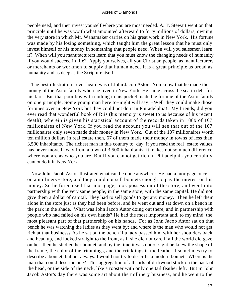people need, and then invest yourself where you are most needed. A. T. Stewart went on that principle until he was worth what amounted afterward to forty millions of dollars, owning the very store in which Mr. Wanamaker carries on his great work in New York. His fortune was made by his losing something, which taught him the great lesson that he must only invest himself or his money in something that people need. When will you salesmen learn it? When will you manufacturers learn that you must know the changing needs of humanity if you would succeed in life? Apply yourselves, all you Christian people, as manufacturers or merchants or workmen to supply that human need. It is a great principle as broad as humanity and as deep as the Scripture itself.

 The best illustration I ever heard was of John Jacob Astor. You know that he made the money of the Astor family when he lived in New York. He came across the sea in debt for his fare. But that poor boy with nothing in his pocket made the fortune of the Astor family on one principle. Some young man here to−night will say, «Well they could make those fortunes over in New York but they could not do it in Philadelphia!» My friends, did you ever read that wonderful book of Riis (his memory is sweet to us because of his recent death), wherein is given his statistical account of the records taken in 1889 of 107 millionaires of New York. If you read the account you will see that out of the 107 millionaires only seven made their money in New York. Out of the 107 millionaires worth ten million dollars in real estate then, 67 of them made their money in towns of less than 3,500 inhabitants. The richest man in this country to−day, if you read the real−estate values, has never moved away from a town of 3,500 inhabitants. It makes not so much difference where you are as who you are. But if you cannot get rich in Philadelphia you certainly cannot do it in New York.

 Now John Jacob Astor illustrated what can be done anywhere. He had a mortgage once on a millinery−store, and they could not sell bonnets enough to pay the interest on his money. So he foreclosed that mortgage, took possession of the store, and went into partnership with the very same people, in the same store, with the same capital. He did not give them a dollar of capital. They had to sell goods to get any money. Then he left them alone in the store just as they had been before, and he went out and sat down on a bench in the park in the shade. What was John Jacob Astor doing out there, and in partnership with people who had failed on his own hands? He had the most important and, to my mind, the most pleasant part of that partnership on his hands. For as John Jacob Astor sat on that bench he was watching the ladies as they went by; and where is the man who would not get rich at that business? As he sat on the bench if a lady passed him with her shoulders back and head up, and looked straight to the front, as if she did not care if all the world did gaze on her, then he studied her bonnet, and by the time it was out of sight he knew the shape of the frame, the color of the trimmings, and the crinklings in the feather. I sometimes try to describe a bonnet, but not always. I would not try to describe a modern bonnet. Where is the man that could describe one? This aggregation of all sorts of driftwood stuck on the back of the head, or the side of the neck, like a rooster with only one tail feather left. But in John Jacob Astor's day there was some art about the millinery business, and he went to the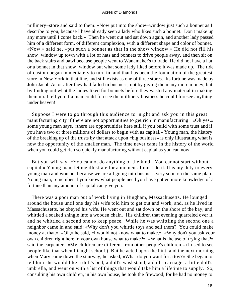millinery−store and said to them: «Now put into the show−window just such a bonnet as I describe to you, because I have already seen a lady who likes such a bonnet. Don't make up any more until I come back.» Then he went out and sat down again, and another lady passed him of a different form, of different complexion, with a different shape and color of bonnet. «Now,» said he, «put such a bonnet as that in the show window.» He did not fill his show−window up town with a lot of hats and bonnets to drive people away, and then sit on the back stairs and bawl because people went to Wanamaker's to trade. He did not have a hat or a bonnet in that show−window but what some lady liked before it was made up. The tide of custom began immediately to turn in, and that has been the foundation of the greatest store in New York in that line, and still exists as one of three stores. Its fortune was made by John Jacob Astor after they had failed in business, not by giving them any more money, but by finding out what the ladies liked for bonnets before they wasted any material in making them up. I tell you if a man could foresee the millinery business he could foresee anything under heaven!

 Suppose I were to go through this audience to−night and ask you in this great manufacturing city if there are not opportunities to get rich in manufacturing. «Oh yes,» some young man says, «there are opportunities here still if you build with some trust and if you have two or three millions of dollars to begin with as capital.» Young man, the history of the breaking up of the trusts by that attack upon «big business» is only illustrating what is now the opportunity of the smaller man. The time never came in the history of the world when you could get rich so quickly manufacturing without capital as you can now.

 But you will say, «You cannot do anything of the kind. You cannot start without capital.» Young man, let me illustrate for a moment. I must do it. It is my duty to every young man and woman, because we are all going into business very soon on the same plan. Young man, remember if you know what people need you have gotten more knowledge of a fortune than any amount of capital can give you.

 There was a poor man out of work living in Hingham, Massachusetts. He lounged around the house until one day his wife told him to get out and work, and, as he lived in Massachusetts, he obeyed his wife. He went out and sat down on the shore of the bay, and whittled a soaked shingle into a wooden chain. His children that evening quarreled over it, and he whittled a second one to keep peace. While he was whittling the second one a neighbor came in and said: «Why don't you whittle toys and sell them? You could make money at that.» «Oh,» he said, «I would not know what to make.» «Why don't you ask your own children right here in your own house what to make?» «What is the use of trying that?» said the carpenter. «My children are different from other people's children.» (I used to see people like that when I taught school.) But he acted upon the hint, and the next morning when Mary came down the stairway, he asked, «What do you want for a toy?» She began to tell him she would like a doll's bed, a doll's washstand, a doll's carriage, a little doll's umbrella, and went on with a list of things that would take him a lifetime to supply. So, consulting his own children, in his own house, he took the firewood, for he had no money to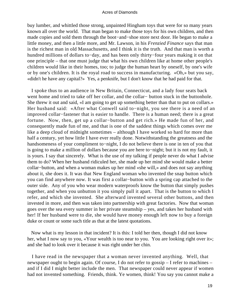buy lumber, and whittled those strong, unpainted Hingham toys that were for so many years known all over the world. That man began to make those toys for his own children, and then made copies and sold them through the boot−and−shoe store next door. He began to make a little money, and then a little more, and Mr. Lawson, in his *Frenzied Finance* says that man is the richest man in old Massachusetts, and I think it is the truth. And that man is worth a hundred millions of dollars to−day, and has been only thirty−four years making it on that one principle – that one must judge that what his own children like at home other people's children would like in their homes, too; to judge the human heart by oneself, by one's wife or by one's children. It is the royal road to success in manufacturing. «Oh,» but you say, «didn't he have any capital?» Yes, a penknife, but I don't know that he had paid for that.

 I spoke thus to an audience in New Britain, Connecticut, and a lady four seats back went home and tried to take off her collar, and the collar− button stuck in the buttonhole. She threw it out and said, «I am going to get up something better than that to put on collars.» Her husband said: «After what Conwell said to−night, you see there is a need of an improved collar−fastener that is easier to handle. There is a human need; there is a great fortune. Now, then, get up a collar−button and get rich.» He made fun of her, and consequently made fun of me, and that is one of the saddest things which comes over me like a deep cloud of midnight sometimes – although I have worked so hard for more than half a century, yet how little I have ever really done. Notwithstanding the greatness and the handsomeness of your compliment to−night, I do not believe there is one in ten of you that is going to make a million of dollars because you are here to−night; but it is not my fault, it is yours. I say that sincerely. What is the use of my talking if people never do what I advise them to do? When her husband ridiculed her, she made up her mind she would make a better collar−button, and when a woman makes up her mind «she will,» and does not say anything about it, she does it. It was that New England woman who invented the snap button which you can find anywhere now. It was first a collar−button with a spring cap attached to the outer side. Any of you who wear modern waterproofs know the button that simply pushes together, and when you unbutton it you simply pull it apart. That is the button to which I refer, and which she invented. She afterward invented several other buttons, and then invested in more, and then was taken into partnership with great factories. Now that woman goes over the sea every summer in her private steamship – yes, and takes her husband with her! If her husband were to die, she would have money enough left now to buy a foreign duke or count or some such title as that at the latest quotations.

 Now what is my lesson in that incident? It is this: I told her then, though I did not know her, what I now say to you, «Your wealth is too near to you. You are looking right over it»; and she had to look over it because it was right under her chin.

 I have read in the newspaper that a woman never invented anything. Well, that newspaper ought to begin again. Of course, I do not refer to gossip – I refer to machines – and if I did I might better include the men. That newspaper could never appear if women had not invented something. Friends, think. Ye women, think! You say you cannot make a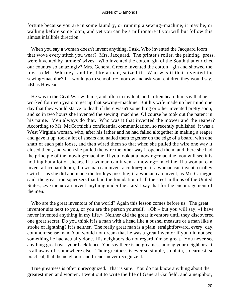fortune because you are in some laundry, or running a sewing−machine, it may be, or walking before some loom, and yet you can be a millionaire if you will but follow this almost infallible direction.

 When you say a woman doesn't invent anything, I ask, Who invented the Jacquard loom that wove every stitch you wear? Mrs. Jacquard. The printer's roller, the printing−press, were invented by farmers' wives. Who invented the cotton−gin of the South that enriched our country so amazingly? Mrs. General Greene invented the cotton− gin and showed the idea to Mr. Whitney, and he, like a man, seized it. Who was it that invented the sewing−machine? If I would go to school to− morrow and ask your children they would say, «Elias Howe.»

 He was in the Civil War with me, and often in my tent, and I often heard him say that he worked fourteen years to get up that sewing−machine. But his wife made up her mind one day that they would starve to death if there wasn't something or other invented pretty soon, and so in two hours she invented the sewing−machine. Of course he took out the patent in his name. Men always do that. Who was it that invented the mower and the reaper? According to Mr. McCormick's confidential communication, so recently published, it was a West Virginia woman, who, after his father and he had failed altogether in making a reaper and gave it up, took a lot of shears and nailed them together on the edge of a board, with one shaft of each pair loose, and then wired them so that when she pulled the wire one way it closed them, and when she pulled the wire the other way it opened them, and there she had the principle of the mowing−machine. If you look at a mowing−machine, you will see it is nothing but a lot of shears. If a woman can invent a mowing− machine, if a woman can invent a Jacquard loom, if a woman can invent a cotton−gin, if a woman can invent a trolley switch – as she did and made the trolleys possible; if a woman can invent, as Mr. Carnegie said, the great iron squeezers that laid the foundation of all the steel millions of the United States, «we men» can invent anything under the stars! I say that for the encouragement of the men.

 Who are the great inventors of the world? Again this lesson comes before us. The great inventor sits next to you, or you are the person yourself. «Oh,» but you will say, «I have never invented anything in my life.» Neither did the great inventors until they discovered one great secret. Do you think it is a man with a head like a bushel measure or a man like a stroke of lightning? It is neither. The really great man is a plain, straightforward, every−day, common−sense man. You would not dream that he was a great inventor if you did not see something he had actually done. His neighbors do not regard him so great. You never see anything great over your back fence. You say there is no greatness among your neighbors. It is all away off somewhere else. Their greatness is ever so simple, so plain, so earnest, so practical, that the neighbors and friends never recognize it.

 True greatness is often unrecognized. That is sure. You do not know anything about the greatest men and women. I went out to write the life of General Garfield, and a neighbor,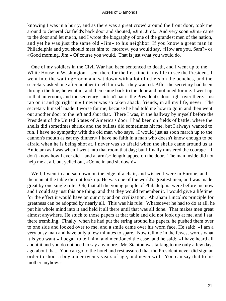knowing I was in a hurry, and as there was a great crowd around the front door, took me around to General Garfield's back door and shouted, «Jim! Jim!» And very soon «Jim» came to the door and let me in, and I wrote the biography of one of the grandest men of the nation, and yet he was just the same old «Jim» to his neighbor. If you know a great man in Philadelphia and you should meet him to−morrow, you would say, «How are you, Sam?» or «Good morning, Jim.» Of course you would. That is just what you would do.

 One of my soldiers in the Civil War had been sentenced to death, and I went up to the White House in Washington – sent there for the first time in my life to see the President. I went into the waiting−room and sat down with a lot of others on the benches, and the secretary asked one after another to tell him what they wanted. After the secretary had been through the line, he went in, and then came back to the door and motioned for me. I went up to that anteroom, and the secretary said: «That is the President's door right over there. Just rap on it and go right in.» I never was so taken aback, friends, in all my life, never. The secretary himself made it worse for me, because he had told me how to go in and then went out another door to the left and shut that. There I was, in the hallway by myself before the President of the United States of America's door. I had been on fields of battle, where the shells did sometimes shriek and the bullets did sometimes hit me, but I always wanted to run. I have no sympathy with the old man who says, «I would just as soon march up to the cannon's mouth as eat my dinner.» I have no faith in a man who doesn't know enough to be afraid when he is being shot at. I never was so afraid when the shells came around us at Antietam as I was when I went into that room that day; but I finally mustered the courage – I don't know how I ever did – and at arm's− length tapped on the door. The man inside did not help me at all, but yelled out, «Come in and sit down!»

 Well, I went in and sat down on the edge of a chair, and wished I were in Europe, and the man at the table did not look up. He was one of the world's greatest men, and was made great by one single rule. Oh, that all the young people of Philadelphia were before me now and I could say just this one thing, and that they would remember it. I would give a lifetime for the effect it would have on our city and on civilization. Abraham Lincoln's principle for greatness can be adopted by nearly all. This was his rule: Whatsoever he had to do at all, he put his whole mind into it and held it all there until that was all done. That makes men great almost anywhere. He stuck to those papers at that table and did not look up at me, and I sat there trembling. Finally, when he had put the string around his papers, he pushed them over to one side and looked over to me, and a smile came over his worn face. He said: «I am a very busy man and have only a few minutes to spare. Now tell me in the fewest words what it is you want.» I began to tell him, and mentioned the case, and he said: «I have heard all about it and you do not need to say any more. Mr. Stanton was talking to me only a few days ago about that. You can go to the hotel and rest assured that the President never did sign an order to shoot a boy under twenty years of age, and never will. You can say that to his mother anyhow.»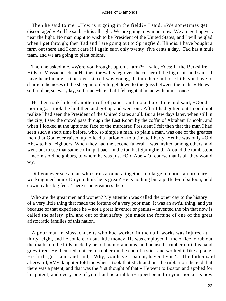Then he said to me, «How is it going in the field?» I said, «We sometimes get discouraged.» And he said: «It is all right. We are going to win out now. We are getting very near the light. No man ought to wish to be President of the United States, and I will be glad when I get through; then Tad and I are going out to Springfield, Illinois. I have bought a farm out there and I don't care if I again earn only twenty−five cents a day. Tad has a mule team, and we are going to plant onions.»

 Then he asked me, «Were you brought up on a farm?» I said, «Yes; in the Berkshire Hills of Massachusetts.» He then threw his leg over the corner of the big chair and said, «I have heard many a time, ever since I was young, that up there in those hills you have to sharpen the noses of the sheep in order to get down to the grass between the rocks.» He was so familiar, so everyday, so farmer−like, that I felt right at home with him at once.

 He then took hold of another roll of paper, and looked up at me and said, «Good morning.» I took the hint then and got up and went out. After I had gotten out I could not realize I had seen the President of the United States at all. But a few days later, when still in the city, I saw the crowd pass through the East Room by the coffin of Abraham Lincoln, and when I looked at the upturned face of the murdered President I felt then that the man I had seen such a short time before, who, so simple a man, so plain a man, was one of the greatest men that God ever raised up to lead a nation on to ultimate liberty. Yet he was only «Old Abe» to his neighbors. When they had the second funeral, I was invited among others, and went out to see that same coffin put back in the tomb at Springfield. Around the tomb stood Lincoln's old neighbors, to whom he was just «Old Abe.» Of course that is all they would say.

 Did you ever see a man who struts around altogether too large to notice an ordinary working mechanic? Do you think he is great? He is nothing but a puffed−up balloon, held down by his big feet. There is no greatness there.

 Who are the great men and women? My attention was called the other day to the history of a very little thing that made the fortune of a very poor man. It was an awful thing, and yet because of that experience he – not a great inventor or genius – invented the pin that now is called the safety−pin, and out of that safety−pin made the fortune of one of the great aristocratic families of this nation.

 A poor man in Massachusetts who had worked in the nail−works was injured at thirty−eight, and he could earn but little money. He was employed in the office to rub out the marks on the bills made by pencil memorandums, and he used a rubber until his hand grew tired. He then tied a piece of rubber on the end of a stick and worked it like a plane. His little girl came and said, «Why, you have a patent, haven't you?» The father said afterward, «My daughter told me when I took that stick and put the rubber on the end that there was a patent, and that was the first thought of that.» He went to Boston and applied for his patent, and every one of you that has a rubber−tipped pencil in your pocket is now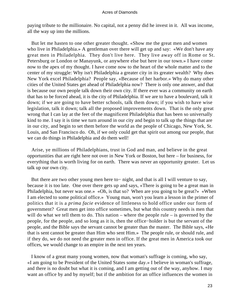paying tribute to the millionaire. No capital, not a penny did he invest in it. All was income, all the way up into the millions.

 But let me hasten to one other greater thought. «Show me the great men and women who live in Philadelphia.» A gentleman over there will get up and say: «We don't have any great men in Philadelphia. They don't live here. They live away off in Rome or St. Petersburg or London or Manayunk, or anywhere else but here in our town.» I have come now to the apex of my thought. I have come now to the heart of the whole matter and to the center of my struggle: Why isn't Philadelphia a greater city in its greater wealth? Why does New York excel Philadelphia? People say, «Because of her harbor.» Why do many other cities of the United States get ahead of Philadelphia now? There is only one answer, and that is because our own people talk down their own city. If there ever was a community on earth that has to be forced ahead, it is the city of Philadelphia. If we are to have a boulevard, talk it down; if we are going to have better schools, talk them down; if you wish to have wise legislation, talk it down; talk all the proposed improvements down. That is the only great wrong that I can lay at the feet of the magnificent Philadelphia that has been so universally kind to me. I say it is time we turn around in our city and begin to talk up the things that are in our city, and begin to set them before the world as the people of Chicago, New York, St. Louis, and San Francisco do. Oh, if we only could get that spirit out among our people, that we can do things in Philadelphia and do them well!

 Arise, ye millions of Philadelphians, trust in God and man, and believe in the great opportunities that are right here not over in New York or Boston, but here – for business, for everything that is worth living for on earth. There was never an opportunity greater. Let us talk up our own city.

 But there are two other young men here to− night, and that is all I will venture to say, because it is too late. One over there gets up and says, «There is going to be a great man in Philadelphia, but never was one.» «Oh, is that so? When are you going to be great?» «When I am elected to some political office.» Young man, won't you learn a lesson in the primer of politics that it is a *prima facie* evidence of littleness to hold office under our form of government? Great men get into office sometimes, but what this country needs is men that will do what we tell them to do. This nation – where the people rule – is governed by the people, for the people, and so long as it is, then the office−holder is but the servant of the people, and the Bible says the servant cannot be greater than the master. The Bible says, «He that is sent cannot be greater than Him who sent Him.» The people rule, or should rule, and if they do, we do not need the greater men in office. If the great men in America took our offices, we would change to an empire in the next ten years.

 I know of a great many young women, now that woman's suffrage is coming, who say, «I am going to be President of the United States some day.» I believe in woman's suffrage, and there is no doubt but what it is coming, and I am getting out of the way, anyhow. I may want an office by and by myself; but if the ambition for an office influences the women in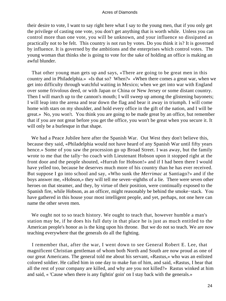their desire to vote, I want to say right here what I say to the young men, that if you only get the privilege of casting one vote, you don't get anything that is worth while. Unless you can control more than one vote, you will be unknown, and your influence so dissipated as practically not to be felt. This country is not run by votes. Do you think it is? It is governed by influence. It is governed by the ambitions and the enterprises which control votes. The young woman that thinks she is going to vote for the sake of holding an office is making an awful blunder.

 That other young man gets up and says, «There are going to be great men in this country and in Philadelphia.» «Is that so? When?» «When there comes a great war, when we get into difficulty through watchful waiting in Mexico; when we get into war with England over some frivolous deed, or with Japan or China or New Jersey or some distant country. Then I will march up to the cannon's mouth; I will sweep up among the glistening bayonets; I will leap into the arena and tear down the flag and bear it away in triumph. I will come home with stars on my shoulder, and hold every office in the gift of the nation, and I will be great.» No, you won't. You think you are going to be made great by an office, but remember that if you are not great before you get the office, you won't be great when you secure it. It will only be a burlesque in that shape.

 We had a Peace Jubilee here after the Spanish War. Out West they don't believe this, because they said, «Philadelphia would not have heard of any Spanish War until fifty years hence.» Some of you saw the procession go up Broad Street. I was away, but the family wrote to me that the tally−ho coach with Lieutenant Hobson upon it stopped right at the front door and the people shouted, «Hurrah for Hobson!» and if I had been there I would have yelled too, because he deserves much more of his country than he has ever received. But suppose I go into school and say, «Who sunk the *Merrimac* at Santiago?» and if the boys answer me, «Hobson,» they will tell me seven−eighths of a lie. There were seven other heroes on that steamer, and they, by virtue of their position, were continually exposed to the Spanish fire, while Hobson, as an officer, might reasonably be behind the smoke−stack. You have gathered in this house your most intelligent people, and yet, perhaps, not one here can name the other seven men.

We ought not to so teach history. We ought to teach that, however humble a man's station may be, if he does his full duty in that place he is just as much entitled to the American people's honor as is the king upon his throne. But we do not so teach. We are now teaching everywhere that the generals do all the fighting.

 I remember that, after the war, I went down to see General Robert E. Lee, that magnificent Christian gentleman of whom both North and South are now proud as one of our great Americans. The general told me about his servant, «Rastus,» who was an enlisted colored soldier. He called him in one day to make fun of him, and said, «Rastus, I hear that all the rest of your company are killed, and why are you not killed?» Rastus winked at him and said, « 'Cause when there is any fightin' goin' on I stay back with the generals.»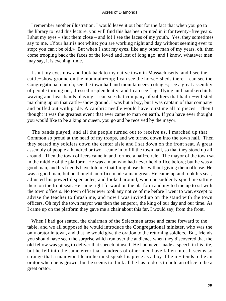I remember another illustration. I would leave it out but for the fact that when you go to the library to read this lecture, you will find this has been printed in it for twenty−five years. I shut my eyes – shut them close – and lo! I see the faces of my youth. Yes, they sometimes say to me, «Your hair is not white; you are working night and day without seeming ever to stop; you can't be old.» But when I shut my eyes, like any other man of my years, oh, then come trooping back the faces of the loved and lost of long ago, and I know, whatever men may say, it is evening−time.

 I shut my eyes now and look back to my native town in Massachusetts, and I see the cattle−show ground on the mountain−top; I can see the horse− sheds there. I can see the Congregational church; see the town hall and mountaineers' cottages; see a great assembly of people turning out, dressed resplendently, and I can see flags flying and handkerchiefs waving and hear bands playing. I can see that company of soldiers that had re−enlisted marching up on that cattle−show ground. I was but a boy, but I was captain of that company and puffed out with pride. A cambric needle would have burst me all to pieces. Then I thought it was the greatest event that ever came to man on earth. If you have ever thought you would like to be a king or queen, you go and be received by the mayor.

 The bands played, and all the people turned out to receive us. I marched up that Common so proud at the head of my troops, and we turned down into the town hall. Then they seated my soldiers down the center aisle and I sat down on the front seat. A great assembly of people a hundred or two – came in to fill the town hall, so that they stood up all around. Then the town officers came in and formed a half−circle. The mayor of the town sat in the middle of the platform. He was a man who had never held office before; but he was a good man, and his friends have told me that I might use this without giving them offense. He was a good man, but he thought an office made a man great. He came up and took his seat, adjusted his powerful spectacles, and looked around, when he suddenly spied me sitting there on the front seat. He came right forward on the platform and invited me up to sit with the town officers. No town officer ever took any notice of me before I went to war, except to advise the teacher to thrash me, and now I was invited up on the stand with the town officers. Oh my! the town mayor was then the emperor, the king of our day and our time. As I came up on the platform they gave me a chair about this far, I would say, from the front.

 When I had got seated, the chairman of the Selectmen arose and came forward to the table, and we all supposed he would introduce the Congregational minister, who was the only orator in town, and that he would give the oration to the returning soldiers. But, friends, you should have seen the surprise which ran over the audience when they discovered that the old fellow was going to deliver that speech himself. He had never made a speech in his life, but he fell into the same error that hundreds of other men have fallen into. It seems so strange that a man won't learn he must speak his piece as a boy if he in− tends to be an orator when he is grown, but he seems to think all he has to do is to hold an office to be a great orator.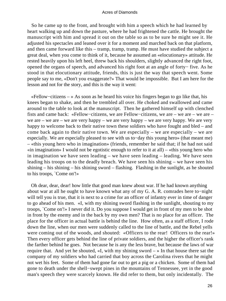So he came up to the front, and brought with him a speech which he had learned by heart walking up and down the pasture, where he had frightened the cattle. He brought the manuscript with him and spread it out on the table so as to be sure he might see it. He adjusted his spectacles and leaned over it for a moment and marched back on that platform, and then came forward like this – tramp, tramp, tramp. He must have studied the subject a great deal, when you come to think of it, because he assumed an «elocutionary» attitude. He rested heavily upon his left heel, threw back his shoulders, slightly advanced the right foot, opened the organs of speech, and advanced his right foot at an angle of forty− five. As he stood in that elocutionary attitude, friends, this is just the way that speech went. Some people say to me, «Don't you exaggerate?» That would be impossible. But I am here for the lesson and not for the story, and this is the way it went:

 «Fellow−citizens – » As soon as he heard his voice his fingers began to go like that, his knees began to shake, and then he trembled all over. He choked and swallowed and came around to the table to look at the manuscript. Then he gathered himself up with clenched fists and came back: «Fellow−citizens, we are Fellow−citizens, we are – we are – we are – we are – we are – we are very happy – we are very happy – we are very happy. We are very happy to welcome back to their native town these soldiers who have fought and bled – and come back again to their native town. We are especially – we are especially – we are especially. We are especially pleased to see with us to−day this young hero» (that meant me) – «this young hero who in imagination» (friends, remember he said that; if he had not said  $\sin$  imagination» I would not be egotistic enough to refer to it at all) – «this young hero who in imagination we have seen leading – we have seen leading – leading. We have seen leading his troops on to the deadly breach. We have seen his shining – we have seen his shining – his shining – his shining sword – flashing. Flashing in the sunlight, as he shouted to his troops, `Come on'!»

 Oh dear, dear, dear! how little that good man knew about war. If he had known anything about war at all he ought to have known what any of my G. A. R. comrades here to−night will tell you is true, that it is next to a crime for an officer of infantry ever in time of danger to go ahead of his men. «I, with my shining sword flashing in the sunlight, shouting to my troops, `Come on'!» I never did it. Do you suppose I would get in front of my men to be shot in front by the enemy and in the back by my own men? That is no place for an officer. The place for the officer in actual battle is behind the line. How often, as a staff officer, I rode down the line, when our men were suddenly called to the line of battle, and the Rebel yells were coming out of the woods, and shouted: «Officers to the rear! Officers to the rear!» Then every officer gets behind the line of private soldiers, and the higher the officer's rank the farther behind he goes. Not because he is any the less brave, but because the laws of war require that. And yet he shouted,  $\ll 1$ , with my shining sword – » In that house there sat the company of my soldiers who had carried that boy across the Carolina rivers that he might not wet his feet. Some of them had gone far out to get a pig or a chicken. Some of them had gone to death under the shell−swept pines in the mountains of Tennessee, yet in the good man's speech they were scarcely known. He did refer to them, but only incidentally. The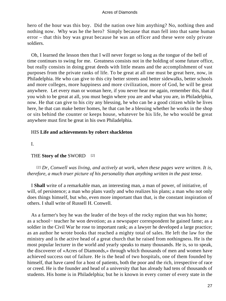hero of the hour was this boy. Did the nation owe him anything? No, nothing then and nothing now. Why was he the hero? Simply because that man fell into that same human error – that this boy was great because he was an officer and these were only private soldiers.

 Oh, I learned the lesson then that I will never forget so long as the tongue of the bell of time continues to swing for me. Greatness consists not in the holding of some future office, but really consists in doing great deeds with little means and the accomplishment of vast purposes from the private ranks of life. To be great at all one must be great here, now, in Philadelphia. He who can give to this city better streets and better sidewalks, better schools and more colleges, more happiness and more civilization, more of God, he will be great anywhere. Let every man or woman here, if you never hear me again, remember this, that if you wish to be great at all, you must begin where you are and what you are, in Philadelphia, now. He that can give to his city any blessing, he who can be a good citizen while he lives here, he that can make better homes, he that can be a blessing whether he works in the shop or sits behind the counter or keeps house, whatever be his life, he who would be great anywhere must first be great in his own Philadelphia.

### HIS **Life and achievements by robert shackleton**

I.

## THE **Story of the** SWORD [2]

[2] *Dr, Conwell was living, and actively at work, when these pages were written. It is, therefore, a much truer picture of his personality than anything written in the past tense*.

 I **Shall** write of a remarkable man, an interesting man, a man of power, of initiative, of will, of persistence; a man who plans vastly and who realizes his plans; a man who not only does things himself, but who, even more important than that, is the constant inspiration of others. I shall write of Russell H. Conwell.

 As a farmer's boy he was the leader of the boys of the rocky region that was his home; as a school− teacher he won devotion; as a newspaper correspondent he gained fame; as a soldier in the Civil War he rose to important rank; as a lawyer he developed a large practice; as an author he wrote books that reached a mighty total of sales. He left the law for the ministry and is the active head of a great church that he raised from nothingness. He is the most popular lecturer in the world and yearly speaks to many thousands. He is, so to speak, the discoverer of «Acres of Diamonds,» through which thousands of men and women have achieved success out of failure. He is the head of two hospitals, one of them founded by himself, that have cared for a host of patients, both the poor and the rich, irrespective of race or creed. He is the founder and head of a university that has already had tens of thousands of students. His home is in Philadelphia; but he is known in every corner of every state in the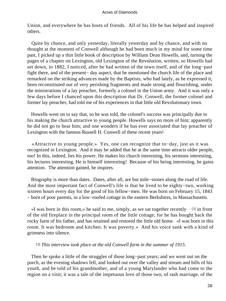Union, and everywhere he has hosts of friends. All of his life he has helped and inspired others.

 Quite by chance, and only yesterday, literally yesterday and by chance, and with no thought at the moment of Conwell although he had been much in my mind for some time past, I picked up a thin little book of description by William Dean Howells, and, turning the pages of a chapter on Lexington, old Lexington of the Revolution, written, so Howells had set down, in 1882, I noticed, after he had written of the town itself, and of the long−past fight there, and of the present− day aspect, that he mentioned the church life of the place and remarked on the striking advances made by the Baptists, who had lately, as he expressed it, been reconstituted out of very perishing fragments and made strong and flourishing, under the ministrations of a lay preacher, formerly a colonel in the Union army. And it was only a few days before I chanced upon this description that Dr. Conwell, the former colonel and former lay preacher, had told me of his experiences in that little old Revolutionary town.

 Howells went on to say that, so he was told, the colonel's success was principally due to his making the church attractive to young people. Howells says no more of him; apparently he did not go to hear him; and one wonders if he has ever associated that lay preacher of Lexington with the famous Russell H. Conwell of these recent years!

 «Attractive to young people.» Yes, one can recognize that to−day, just as it was recognized in Lexington. And it may be added that he at the same time attracts older people, too! In this, indeed, lies his power. He makes his church interesting, his sermons interesting, his lectures interesting. He is himself interesting! Because of his being interesting, he gains attention. The attention gained, he inspires.

 Biography is more than dates. Dates, after all, are but mile−stones along the road of life. And the most important fact of Conwell's life is that he lived to be eighty−two, working sixteen hours every day for the good of his fellow−men. He was born on February 15, 1843 – born of poor parents, in a low−roofed cottage in the eastern Berkshires, in Massachusetts.

«I was born in this room,» he said to me, simply, as we sat together recently  $[3]$  in front of the old fireplace in the principal room of the little cottage; for he has bought back the rocky farm of his father, and has retained and restored the little old home. «I was born in this room. It was bedroom and kitchen. It was poverty.» And his voice sank with a kind of grimness into silence.

## [3] *This interview took place at the old Conwell farm in the summer of 1915*.

Then he spoke a little of the struggles of those long–past years; and we went out on the porch, as the evening shadows fell, and looked out over the valley and stream and hills of his youth, and he told of his grandmother, and of a young Marylander who had come to the region on a visit; it was a tale of the impetuous love of those two, of rash marriage, of the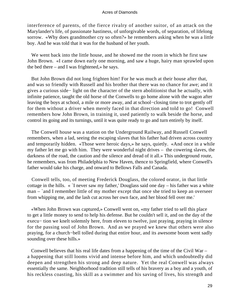interference of parents, of the fierce rivalry of another suitor, of an attack on the Marylander's life, of passionate hastiness, of unforgivable words, of separation, of lifelong sorrow. «Why does grandmother cry so often?» he remembers asking when he was a little boy. And he was told that it was for the husband of her youth.

 We went back into the little house, and he showed me the room in which he first saw John Brown. «I came down early one morning, and saw a huge, hairy man sprawled upon the bed there – and I was frightened,» he says.

 But John Brown did not long frighten him! For he was much at their house after that, and was so friendly with Russell and his brother that there was no chance for awe; and it gives a curious side− light on the character of the stern abolitionist that he actually, with infinite patience, taught the old horse of the Conwells to go home alone with the wagon after leaving the boys at school, a mile or more away, and at school−closing time to trot gently off for them without a driver when merely faced in that direction and told to go! Conwell remembers how John Brown, in training it, used patiently to walk beside the horse, and control its going and its turnings, until it was quite ready to go and turn entirely by itself.

 The Conwell house was a station on the Underground Railway, and Russell Conwell remembers, when a lad, seeing the escaping slaves that his father had driven across country and temporarily hidden. «Those were heroic days,» he says, quietly. «And once in a while my father let me go with him. They were wonderful night drives – the cowering slaves, the darkness of the road, the caution and the silence and dread of it all.» This underground route, he remembers, was from Philadelphia to New Haven, thence to Springfield, where Conwell's father would take his charge, and onward to Bellows Falls and Canada.

 Conwell tells, too, of meeting Frederick Douglass, the colored orator, in that little cottage in the hills. « `I never saw my father,' Douglass said one day – his father was a white man – `and I remember little of my mother except that once she tried to keep an overseer from whipping me, and the lash cut across her own face, and her blood fell over me.'

 «When John Brown was captured,» Conwell went on, «my father tried to sell this place to get a little money to send to help his defense. But he couldn't sell it, and on the day of the execu− tion we knelt solemnly here, from eleven to twelve, just praying, praying in silence for the passing soul of John Brown. And as we prayed we knew that others were also praying, for a church−bell tolled during that entire hour, and its awesome boom went sadly sounding over these hills.»

 Conwell believes that his real life dates from a happening of the time of the Civil War – a happening that still looms vivid and intense before him, and which undoubtedly did deepen and strengthen his strong and deep nature. Yet the real Conwell was always essentially the same. Neighborhood tradition still tells of his bravery as a boy and a youth, of his reckless coasting, his skill as a swimmer and his saving of lives, his strength and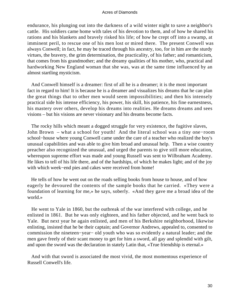endurance, his plunging out into the darkness of a wild winter night to save a neighbor's cattle. His soldiers came home with tales of his devotion to them, and of how he shared his rations and his blankets and bravely risked his life; of how he crept off into a swamp, at imminent peril, to rescue one of his men lost or mired there. The present Conwell was always Conwell; in fact, he may be traced through his ancestry, too, for in him are the sturdy virtues, the bravery, the grim determination, the practicality, of his father; and romanticism, that comes from his grandmother; and the dreamy qualities of his mother, who, practical and hardworking New England woman that she was, was at the same time influenced by an almost startling mysticism.

 And Conwell himself is a dreamer: first of all he is a dreamer; it is the most important fact in regard to him! It is because he is a dreamer and visualizes his dreams that he can plan the great things that to other men would seem impossibilities; and then his intensely practical side his intense efficiency, his power, his skill, his patience, his fine earnestness, his mastery over others, develop his dreams into realities. He dreams dreams and sees visions – but his visions are never visionary and his dreams become facts.

 The rocky hills which meant a dogged struggle for very existence, the fugitive slaves, John Brown – what a school for youth! And the literal school was a tiny one−room school−house where young Conwell came under the care of a teacher who realized the boy's unusual capabilities and was able to give him broad and unusual help. Then a wise country preacher also recognized the unusual, and urged the parents to give still more education, whereupon supreme effort was made and young Russell was sent to Wilbraham Academy. He likes to tell of his life there, and of the hardships, of which he makes light; and of the joy with which week−end pies and cakes were received from home!

 He tells of how he went out on the roads selling books from house to house, and of how eagerly he devoured the contents of the sample books that he carried. «They were a foundation of learning for me,» he says, soberly. «And they gave me a broad idea of the world.»

 He went to Yale in 1860, but the outbreak of the war interfered with college, and he enlisted in 1861. But he was only eighteen, and his father objected, and he went back to Yale. But next year he again enlisted, and men of his Berkshire neighborhood, likewise enlisting, insisted that he be their captain; and Governor Andrews, appealed to, consented to commission the nineteen−year− old youth who was so evidently a natural leader; and the men gave freely of their scant money to get for him a sword, all gay and splendid with gilt, and upon the sword was the declaration in stately Latin that, «True friendship is eternal.»

 And with that sword is associated the most vivid, the most momentous experience of Russell Conwell's life.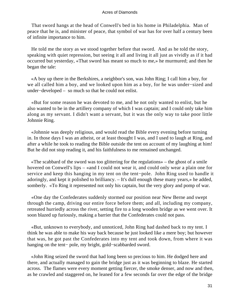That sword hangs at the head of Conwell's bed in his home in Philadelphia. Man of peace that he is, and minister of peace, that symbol of war has for over half a century been of infinite importance to him.

 He told me the story as we stood together before that sword. And as he told the story, speaking with quiet repression, but seeing it all and living it all just as vividly as if it had occurred but yesterday, «That sword has meant so much to me,» he murmured; and then he began the tale:

 «A boy up there in the Berkshires, a neighbor's son, was John Ring; I call him a boy, for we all called him a boy, and we looked upon him as a boy, for he was under−sized and under−developed – so much so that he could not enlist.

 «But for some reason he was devoted to me, and he not only wanted to enlist, but he also wanted to be in the artillery company of which I was captain; and I could only take him along as my servant. I didn't want a servant, but it was the only way to take poor little Johnnie Ring.

 «Johnnie was deeply religious, and would read the Bible every evening before turning in. In those days I was an atheist, or at least thought I was, and I used to laugh at Ring, and after a while he took to reading the Bible outside the tent on account of my laughing at him! But he did not stop reading it, and his faithfulness to me remained unchanged.

 «The scabbard of the sword was too glittering for the regulations» – the ghost of a smile hovered on Conwell's lips – «and I could not wear it, and could only wear a plain one for service and keep this hanging in my tent on the tent−pole. John Ring used to handle it adoringly, and kept it polished to brilliancy. – It's dull enough these many years,» he added, somberly. «To Ring it represented not only his captain, but the very glory and pomp of war.

 «One day the Confederates suddenly stormed our position near New Berne and swept through the camp, driving our entire force before them; and all, including my company, retreated hurriedly across the river, setting fire to a long wooden bridge as we went over. It soon blazed up furiously, making a barrier that the Confederates could not pass.

 «But, unknown to everybody, and unnoticed, John Ring had dashed back to my tent. I think he was able to make his way back because he just looked like a mere boy; but however that was, he got past the Confederates into my tent and took down, from where it was hanging on the tent− pole, my bright, gold−scabbarded sword.

 «John Ring seized the sword that had long been so precious to him. He dodged here and there, and actually managed to gain the bridge just as it was beginning to blaze. He started across. The flames were every moment getting fiercer, the smoke denser, and now and then, as he crawled and staggered on, he leaned for a few seconds far over the edge of the bridge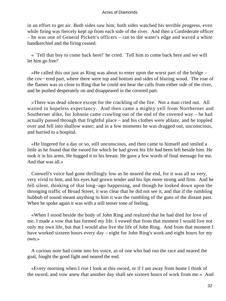in an effort to get air. Both sides saw him; both sides watched his terrible progress, even while firing was fiercely kept up from each side of the river. And then a Confederate officer – he was one of General Pickett's officers – ran to the water's edge and waved a white handkerchief and the firing ceased.

 « `Tell that boy to come back here!' he cried. `Tell him to come back here and we will let him go free!'

 «He called this out just as Ring was about to enter upon the worst part of the bridge – the cov− ered part, where there were top and bottom and sides of blazing wood. The roar of the flames was so close to Ring that he could not hear the calls from either side of the river, and he pushed desperately on and disappeared in the covered part.

 «There was dead silence except for the crackling of the fire. Not a man cried out. All waited in hopeless expectancy. And then came a mighty yell from Northerner and Southerner alike, for Johnnie came crawling out of the end of the covered way – he had actually passed through that frightful place – and his clothes were ablaze, and he toppled over and fell into shallow water; and in a few moments he was dragged out, unconscious, and hurried to a hospital.

 «He lingered for a day or so, still unconscious, and then came to himself and smiled a little as he found that the sword for which he had given his life had been left beside him. He took it in his arms. He hugged it to his breast. He gave a few words of final message for me. And that was all.»

 Conwell's voice had gone thrillingly low as he neared the end, for it was all so very, very vivid to him, and his eyes had grown tender and his lips more strong and firm. And he fell silent, thinking of that long−ago happening, and though he looked down upon the thronging traffic of Broad Street, it was clear that he did not see it, and that if the rumbling hubbub of sound meant anything to him it was the rumbling of the guns of the distant past. When he spoke again it was with a still tenser tone of feeling.

 «When I stood beside the body of John Ring and realized that he had died for love of me, I made a vow that has formed my life. I vowed that from that moment I would live not only my own life, but that I would also live the life of John Ring. And from that moment I have worked sixteen hours every day – eight for John Ring's work and eight hours for my own.»

 A curious note had come into his voice, as of one who had run the race and neared the goal, fought the good fight and neared the end.

 «Every morning when I rise I look at this sword, or if I am away from home I think of the sword, and vow anew that another day shall see sixteen hours of work from me.» And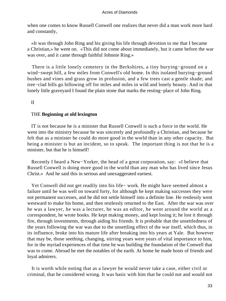when one comes to know Russell Conwell one realizes that never did a man work more hard and constantly,

 «It was through John Ring and his giving his life through devotion to me that I became a Christian,» he went on. «This did not come about immediately, but it came before the war was over, and it came through faithful Johnnie Ring.»

 There is a little lonely cemetery in the Berkshires, a tiny burying−ground on a wind−swept hill, a few miles from Conwell's old home. In this isolated burying−ground bushes and vines and grass grow in profusion, and a few trees cast a gentle shade; and tree−clad hills go billowing off for miles and miles in wild and lonely beauty. And in that lonely little graveyard I found the plain stone that marks the resting−place of John Ring.

II

### THE **Beginning at old lexington**

 IT is not because he is a minister that Russell Conwell is such a force in the world. He went into the ministry because he was sincerely and profoundly a Christian, and because he felt that as a minister he could do more good in the world than in any other capacity. But being a minister is but an incident, so to speak. The important thing is not that he is a minister, but that he is himself!

 Recently I heard a New−Yorker, the head of a great corporation, say: «I believe that Russell Conwell is doing more good in the world than any man who has lived since Jesus Christ.» And he said this in serious and unexaggerated earnest.

 Yet Conwell did not get readily into his life− work. He might have seemed almost a failure until he was well on toward forty, for although he kept making successes they were not permanent successes, and he did not settle himself into a definite line. He restlessly went westward to make his home, and then restlessly returned to the East. After the war was over he was a lawyer, he was a lecturer, he was an editor, he went around the world as a correspondent, he wrote books. He kept making money, and kept losing it; he lost it through fire, through investments, through aiding his friends. It is probable that the unsettledness of the years following the war was due to the unsettling effect of the war itself, which thus, in its influence, broke into his mature life after breaking into his years at Yale. But however that may be, those seething, changing, stirring years were years of vital importance to him, for in the myriad experiences of that time he was building the foundation of the Conwell that was to come. Abroad he met the notables of the earth. At home he made hosts of friends and loyal admirers.

 It is worth while noting that as a lawyer he would never take a case, either civil or criminal, that he considered wrong. It was basic with him that he could not and would not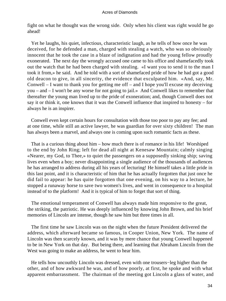fight on what he thought was the wrong side. Only when his client was right would he go ahead!

 Yet he laughs, his quiet, infectious, characteristic laugh, as he tells of how once he was deceived, for he defended a man, charged with stealing a watch, who was so obviously innocent that he took the case in a blaze of indignation and had the young fellow proudly exonerated. The next day the wrongly accused one came to his office and shamefacedly took out the watch that he had been charged with stealing. «I want you to send it to the man I took it from,» he said. And he told with a sort of shamefaced pride of how he had got a good old deacon to give, in all sincerity, the evidence that exculpated him. «And, say, Mr. Conwell – I want to thank you for getting me off – and I hope you'll excuse my deceiving you – and – I won't be any worse for not going to jail.» And Conwell likes to remember that thereafter the young man lived up to the pride of exoneration; and, though Conwell does not say it or think it, one knows that it was the Conwell influence that inspired to honesty – for always he is an inspirer.

 Conwell even kept certain hours for consultation with those too poor to pay any fee; and at one time, while still an active lawyer, he was guardian for over sixty children! The man has always been a marvel, and always one is coming upon such romantic facts as these.

 That is a curious thing about him – how much there is of romance in his life! Worshiped to the end by John Ring; left for dead all night at Kenesaw Mountain; calmly singing «Nearer, my God, to Thee,» to quiet the passengers on a supposedly sinking ship; saving lives even when a boy; never disappointing a single audience of the thousands of audiences he has arranged to address during all his years of lecturing! He himself takes a little pride in this last point, and it is characteristic of him that he has actually forgotten that just once he did fail to appear: he has quite forgotten that one evening, on his way to a lecture, he stopped a runaway horse to save two women's lives, and went in consequence to a hospital instead of to the platform! And it is typical of him to forget that sort of thing.

 The emotional temperament of Conwell has always made him responsive to the great, the striking, the patriotic. He was deeply influenced by knowing John Brown, and his brief memories of Lincoln are intense, though he saw him but three times in all.

 The first time he saw Lincoln was on the night when the future President delivered the address, which afterward became so famous, in Cooper Union, New York. The name of Lincoln was then scarcely known, and it was by mere chance that young Conwell happened to be in New York on that day. But being there, and learning that Abraham Lincoln from the West was going to make an address, he went to hear him.

 He tells how uncouthly Lincoln was dressed, even with one trousers−leg higher than the other, and of how awkward he was, and of how poorly, at first, he spoke and with what apparent embarrassment. The chairman of the meeting got Lincoln a glass of water, and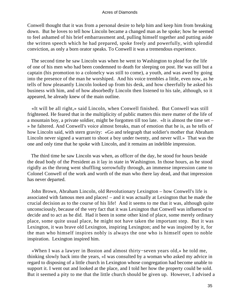Conwell thought that it was from a personal desire to help him and keep him from breaking down. But he loves to tell how Lincoln became a changed man as he spoke; how he seemed to feel ashamed of his brief embarrassment and, pulling himself together and putting aside the written speech which he had prepared, spoke freely and powerfully, with splendid conviction, as only a born orator speaks. To Conwell it was a tremendous experience.

 The second time he saw Lincoln was when he went to Washington to plead for the life of one of his men who had been condemned to death for sleeping on post. He was still but a captain (his promotion to a colonelcy was still to come), a youth, and was awed by going into the presence of the man he worshiped. And his voice trembles a little, even now, as he tells of how pleasantly Lincoln looked up from his desk, and how cheerfully he asked his business with him, and of how absorbedly Lincoln then listened to his tale, although, so it appeared, he already knew of the main outline.

 «It will be all right,» said Lincoln, when Conwell finished. But Conwell was still frightened. He feared that in the multiplicity of public matters this mere matter of the life of a mountain boy, a private soldier, might be forgotten till too late. «It is almost the time set – » he faltered. And Conwell's voice almost breaks, man of emotion that he is, as he tells of how Lincoln said, with stern gravity: «Go and telegraph that soldier's mother that Abraham Lincoln never signed a warrant to shoot a boy under twenty, and never will.» That was the one and only time that he spoke with Lincoln, and it remains an indelible impression.

 The third time he saw Lincoln was when, as officer of the day, he stood for hours beside the dead body of the President as it lay in state in Washington. In those hours, as he stood rigidly as the throng went shuffling sorrowfully through, an immense impression came to Colonel Conwell of the work and worth of the man who there lay dead, and that impression has never departed.

 John Brown, Abraham Lincoln, old Revolutionary Lexington – how Conwell's life is associated with famous men and places! – and it was actually at Lexington that he made the crucial decision as to the course of his life! And it seems to me that it was, although quite unconsciously, because of the very fact that it was Lexington that Conwell was influenced to decide and to act as he did. Had it been in some other kind of place, some merely ordinary place, some quite usual place, he might not have taken the important step. But it was Lexington, it was brave old Lexington, inspiring Lexington; and he was inspired by it, for the man who himself inspires nobly is always the one who is himself open to noble inspiration. Lexington inspired him.

 «When I was a lawyer in Boston and almost thirty−seven years old,» he told me, thinking slowly back into the years, «I was consulted by a woman who asked my advice in regard to disposing of a little church in Lexington whose congregation had become unable to support it. I went out and looked at the place, and I told her how the property could be sold. But it seemed a pity to me that the little church should be given up. However, I advised a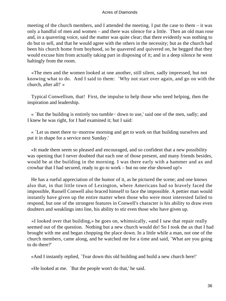meeting of the church members, and I attended the meeting. I put the case to them – it was only a handful of men and women – and there was silence for a little. Then an old man rose and, in a quavering voice, said the matter was quite clear; that there evidently was nothing to do but to sell, and that he would agree with the others in the necessity; but as the church had been his church home from boyhood, so he quavered and quivered on, he begged that they would excuse him from actually taking part in disposing of it; and in a deep silence he went haltingly from the room.

 «The men and the women looked at one another, still silent, sadly impressed, but not knowing what to do. And I said to them: `Why not start over again, and go on with the church, after all!' »

 Typical Conwellism, that! First, the impulse to help those who need helping, then the inspiration and leadership.

 « `But the building is entirely too tumble− down to use,' said one of the men, sadly; and I knew he was right, for I had examined it; but I said:

 « `Let us meet there to−morrow morning and get to work on that building ourselves and put it in shape for a service next Sunday.'

 «It made them seem so pleased and encouraged, and so confident that a new possibility was opening that I never doubted that each one of those present, and many friends besides, would be at the building in the morning. I was there early with a hammer and ax and crowbar that I had secured, ready to go to work – but no one else showed up!»

 He has a rueful appreciation of the humor of it, as he pictured the scene; and one knows also that, in that little town of Lexington, where Americans had so bravely faced the impossible, Russell Conwell also braced himself to face the impossible. A pettier man would instantly have given up the entire matter when those who were most interested failed to respond, but one of the strongest features in Conwell's character is his ability to draw even doubters and weaklings into line, his ability to stir even those who have given up.

 «I looked over that building,» he goes on, whimsically, «and I saw that repair really seemed out of the question. Nothing but a new church would do! So I took the ax that I had brought with me and began chopping the place down. In a little while a man, not one of the church members, came along, and he watched me for a time and said, `What are you going to do there?'

«And I instantly replied, `Tear down this old building and build a new church here!'

«He looked at me. `But the people won't do that,' he said.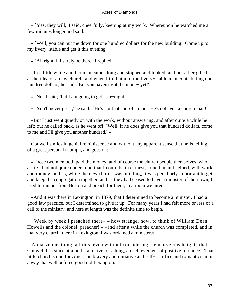« `Yes, they will,' I said, cheerfully, keeping at my work. Whereupon he watched me a few minutes longer and said:

 « `Well, you can put me down for one hundred dollars for the new building. Come up to my livery−stable and get it this evening.'

« `All right; I'll surely be there,' I replied.

 «In a little while another man came along and stopped and looked, and he rather gibed at the idea of a new church, and when I told him of the livery−stable man contributing one hundred dollars, he said, `But you haven't got the money yet!'

« `No,' I said; `but I am going to get it to−night.'

« `You'll never get it,' he said. `He's not that sort of a man. He's not even a church man!'

 «But I just went quietly on with the work, without answering, and after quite a while he left; but he called back, as he went off, `Well, if he does give you that hundred dollars, come to me and I'll give you another hundred.' »

 Conwell smiles in genial reminiscence and without any apparent sense that he is telling of a great personal triumph, and goes on:

 «Those two men both paid the money, and of course the church people themselves, who at first had not quite understood that I could be in earnest, joined in and helped, with work and money, and as, while the new church was building, it was peculiarly important to get and keep the congregation together, and as they had ceased to have a minister of their own, I used to run out from Boston and preach for them, in a room we hired.

 «And it was there in Lexington, in 1879, that I determined to become a minister. I had a good law practice, but I determined to give it up. For many years I had felt more or less of a call to the ministry, and here at length was the definite time to begin.

 «Week by week I preached there» – how strange, now, to think of William Dean Howells and the colonel−preacher! – «and after a while the church was completed, and in that very church, there in Lexington, I was ordained a minister.»

 A marvelous thing, all this, even without considering the marvelous heights that Conwell has since attained – a marvelous thing, an achievement of positive romance! That little church stood for American bravery and initiative and self−sacrifice and romanticism in a way that well befitted good old Lexington.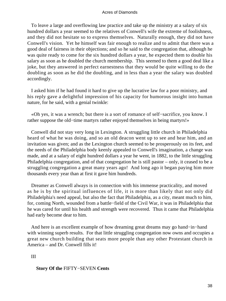To leave a large and overflowing law practice and take up the ministry at a salary of six hundred dollars a year seemed to the relatives of Conwell's wife the extreme of foolishness, and they did not hesitate so to express themselves. Naturally enough, they did not have Conwell's vision. Yet he himself was fair enough to realize and to admit that there was a good deal of fairness in their objections; and so he said to the congregation that, although he was quite ready to come for the six hundred dollars a year, he expected them to double his salary as soon as he doubled the church membership. This seemed to them a good deal like a joke, but they answered in perfect earnestness that they would be quite willing to do the doubling as soon as he did the doubling, and in less than a year the salary was doubled accordingly.

 I asked him if he had found it hard to give up the lucrative law for a poor ministry, and his reply gave a delightful impression of his capacity for humorous insight into human nature, for he said, with a genial twinkle:

 «Oh yes, it was a wrench; but there is a sort of romance of self−sacrifice, you know. I rather suppose the old−time martyrs rather enjoyed themselves in being martyrs!»

 Conwell did not stay very long in Lexington. A struggling little church in Philadelphia heard of what he was doing, and so an old deacon went up to see and hear him, and an invitation was given; and as the Lexington church seemed to be prosperously on its feet, and the needs of the Philadelphia body keenly appealed to Conwell's imagination, a change was made, and at a salary of eight hundred dollars a year he went, in 1882, to the little struggling Philadelphia congregation, and of that congregation he is still pastor – only, it ceased to be a struggling congregation a great many years ago! And long ago it began paying him more thousands every year than at first it gave him hundreds.

 Dreamer as Conwell always is in connection with his immense practicality, and moved as he is by the spiritual influences of life, it is more than likely that not only did Philadelphia's need appeal, but also the fact that Philadelphia, as a city, meant much to him, for, coming North, wounded from a battle−field of the Civil War, it was in Philadelphia that he was cared for until his health and strength were recovered. Thus it came that Philadelphia had early become dear to him.

 And here is an excellent example of how dreaming great dreams may go hand−in−hand with winning superb results. For that little struggling congregation now owns and occupies a great new church building that seats more people than any other Protestant church in America – and Dr. Conwell fills it!

III

# **Story Of the** FIFTY−SEVEN **Cents**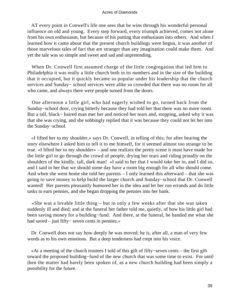AT every point in Conwell's life one sees that he wins through his wonderful personal influence on old and young. Every step forward, every triumph achieved, comes not alone from his own enthusiasm, but because of his putting that enthusiasm into others. And when I learned how it came about that the present church buildings were begun, it was another of those marvelous tales of fact that are stranger than any imagination could make them. And yet the tale was so simple and sweet and sad and unpretending.

When Dr. Conwell first assumed charge of the little congregation that led him to Philadelphia it was really a little church both in its numbers and in the size of the building that it occupied, but it quickly became so popular under his leadership that the church services and Sunday− school services were alike so crowded that there was no room for all who came, and always there were people turned from the doors.

 One afternoon a little girl, who had eagerly wished to go, turned back from the Sunday−school door, crying bitterly because they had told her that there was no more room. But a tall, black− haired man met her and noticed her tears and, stopping, asked why it was that she was crying, and she sobbingly replied that it was because they could not let her into the Sunday−school.

 «I lifted her to my shoulder,» says Dr. Conwell, in telling of this; for after hearing the story elsewhere I asked him to tell it to me himself, for it seemed almost too strange to be true. «I lifted her to my shoulder» – and one realizes the pretty scene it must have made for the little girl to go through the crowd of people, drying her tears and riding proudly on the shoulders of the kindly, tall, dark man! «I said to her that I would take her in, and I did so, and I said to her that we should some day have a room big enough for all who should come. And when she went home she told her parents – I only learned this afterward – that she was going to save money to help build the larger church and Sunday−school that Dr. Conwell wanted! Her parents pleasantly humored her in the idea and let her run errands and do little tasks to earn pennies, and she began dropping the pennies into her bank.

 «She was a lovable little thing – but in only a few weeks after that she was taken suddenly ill and died; and at the funeral her father told me, quietly, of how his little girl had been saving money for a building−fund. And there, at the funeral, he handed me what she had saved – just fifty− seven cents in pennies.»

 Dr. Conwell does not say how deeply he was moved; he is, after all, a man of very few words as to his own emotions. But a deep tenderness had crept into his voice.

 «At a meeting of the church trustees I told of this gift of fifty−seven cents – the first gift toward the proposed building−fund of the new church that was some time to exist. For until then the matter had barely been spoken of, as a new church building had been simply a possibility for the future.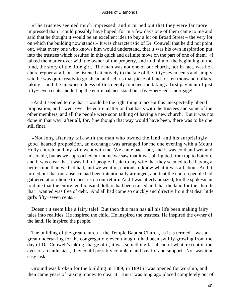«The trustees seemed much impressed, and it turned out that they were far more impressed than I could possibly have hoped, for in a few days one of them came to me and said that he thought it would be an excellent idea to buy a lot on Broad Street – the very lot on which the building now stands.» It was characteristic of Dr. Conwell that he did not point out, what every one who knows him would understand, that it was his own inspiration put into the trustees which resulted in this quick and definite move on the part of one of them. «I talked the matter over with the owner of the property, and told him of the beginning of the fund, the story of the little girl. The man was not one of our church, nor in fact, was he a church−goer at all, but he listened attentively to the tale of the fifty−seven cents and simply said he was quite ready to go ahead and sell us that piece of land for ten thousand dollars, taking – and the unexpectedness of this deeply touched me taking a first payment of just fifty−seven cents and letting the entire balance stand on a five−per−cent. mortgage!

 «And it seemed to me that it would be the right thing to accept this unexpectedly liberal proposition, and I went over the entire matter on that basis with the trustees and some of the other members, and all the people were soon talking of having a new church. But it was not done in that way, after all, for, fine though that way would have been, there was to be one still finer.

 «Not long after my talk with the man who owned the land, and his surprisingly good−hearted proposition, an exchange was arranged for me one evening with a Mount Holly church, and my wife went with me. We came back late, and it was cold and wet and miserable, but as we approached our home we saw that it was all lighted from top to bottom, and it was clear that it was full of people. I said to my wife that they seemed to be having a better time than we had had, and we went in, curious to know what it was all about. And it turned out that our absence had been intentionally arranged, and that the church people had gathered at our home to meet us on our return. And I was utterly amazed, for the spokesman told me that the entire ten thousand dollars had been raised and that the land for the church that I wanted was free of debt. And all had come so quickly and directly from that dear little girl's fifty−seven cents.»

Doesn't it seem like a fairy tale! But then this man has all his life been making fairy tales into realities. He inspired the child. He inspired the trustees. He inspired the owner of the land. He inspired the people.

 The building of the great church – the Temple Baptist Church, as it is termed – was a great undertaking for the congregation; even though it had been swiftly growing from the day of Dr. Conwell's taking charge of it, it was something far ahead of what, except in the eyes of an enthusiast, they could possibly complete and pay for and support. Nor was it an easy task.

 Ground was broken for the building in 1889, in 1891 it was opened for worship, and then came years of raising money to clear it. But it was long ago placed completely out of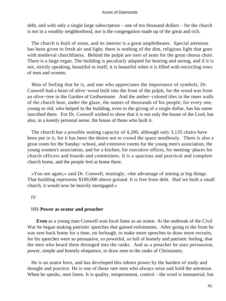debt, and with only a single large subscription – one of ten thousand dollars – for the church is not in a wealthy neighborhood, nor is the congregation made up of the great and rich.

 The church is built of stone, and its interior is a great amphitheater. Special attention has been given to fresh air and light; there is nothing of the dim, religious light that goes with medieval churchliness. Behind the pulpit are tiers of seats for the great chorus choir. There is a large organ. The building is peculiarly adapted for hearing and seeing, and if it is not, strictly speaking, beautiful in itself, it is beautiful when it is filled with encircling rows of men and women.

 Man of feeling that he is, and one who appreciates the importance of symbols, Dr. Conwell had a heart of olive−wood built into the front of the pulpit, for the wood was from an olive−tree in the Garden of Gethsemane. And the amber−colored tiles in the inner walls of the church bear, under the glaze, the names of thousands of his people; for every one, young or old, who helped in the building, even to the giving of a single dollar, has his name inscribed there. For Dr. Conwell wished to show that it is not only the house of the Lord, but also, in a keenly personal sense, the house of those who built it.

 The church has a possible seating capacity of 4,200, although only 3,135 chairs have been put in it, for it has been the desire not to crowd the space needlessly. There is also a great room for the Sunday−school, and extensive rooms for the young men's association, the young women's association, and for a kitchen, for executive offices, for meeting−places for church officers and boards and committees. It is a spacious and practical and complete church home, and the people feel at home there.

 «You see again,» said Dr. Conwell, musingly, «the advantage of aiming at big things. That building represents \$109,000 above ground. It is free from debt. Had we built a small church, it would now be heavily mortgaged.»

# IV

# HIS **Power as orator and preacher**

**Even** as a young man Conwell won local fame as an orator. At the outbreak of the Civil War he began making patriotic speeches that gained enlistments. After going to the front he was sent back home for a time, on furlough, to make more speeches to draw more recruits, for his speeches were so persuasive, so powerful, so full of homely and patriotic feeling, that the men who heard them thronged into the ranks. And as a preacher he uses persuasion, power, simple and homely eloquence, to draw men to the ranks of Christianity.

 He is an orator born, and has developed this inborn power by the hardest of study and thought and practice. He is one of those rare men who always seize and hold the attention. When he speaks, men listen. It is quality, temperament, control – the word is immaterial, but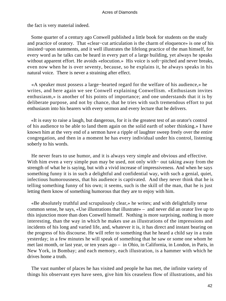the fact is very material indeed.

 Some quarter of a century ago Conwell published a little book for students on the study and practice of oratory. That «clear−cut articulation is the charm of eloquence» is one of his insisted−upon statements, and it well illustrates the lifelong practice of the man himself, for every word as he talks can be heard in every part of a large building, yet always he speaks without apparent effort. He avoids «elocution.» His voice is soft−pitched and never breaks, even now when he is over seventy, because, so he explains it, he always speaks in his natural voice. There is never a straining after effect.

 «A speaker must possess a large−hearted regard for the welfare of his audience,» he writes, and here again we see Conwell explaining Conwellism. «Enthusiasm invites enthusiasm,» is another of his points of importance; and one understands that it is by deliberate purpose, and not by chance, that he tries with such tremendous effort to put enthusiasm into his hearers with every sermon and every lecture that he delivers.

 «It is easy to raise a laugh, but dangerous, for it is the greatest test of an orator's control of his audience to be able to land them again on the solid earth of sober thinking.» I have known him at the very end of a sermon have a ripple of laughter sweep freely over the entire congregation, and then in a moment he has every individual under his control, listening soberly to his words.

 He never fears to use humor, and it is always very simple and obvious and effective. With him even a very simple pun may be used, not only with− out taking away from the strength of what he is saying, but with a vivid increase of impressiveness. And when he says something funny it is in such a delightful and confidential way, with such a genial, quiet, infectious humorousness, that his audience is captivated. And they never think that he is telling something funny of his own; it seems, such is the skill of the man, that he is just letting them know of something humorous that they are to enjoy with him.

 «Be absolutely truthful and scrupulously clear,» he writes; and with delightfully terse common sense, he says, «Use illustrations that illustrate» – and never did an orator live up to this injunction more than does Conwell himself. Nothing is more surprising, nothing is more interesting, than the way in which he makes use as illustrations of the impressions and incidents of his long and varied life, and, whatever it is, it has direct and instant bearing on the progress of his discourse. He will refer to something that he heard a child say in a train yesterday; in a few minutes he will speak of something that he saw or some one whom he met last month, or last year, or ten years ago – in Ohio, in California, in London, in Paris, in New York, in Bombay; and each memory, each illustration, is a hammer with which he drives home a truth.

 The vast number of places he has visited and people he has met, the infinite variety of things his observant eyes have seen, give him his ceaseless flow of illustrations, and his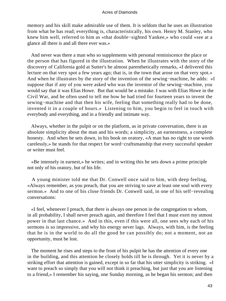memory and his skill make admirable use of them. It is seldom that he uses an illustration from what he has read; everything is, characteristically, his own. Henry M. Stanley, who knew him well, referred to him as «that double−sighted Yankee,» who could «see at a glance all there is and all there ever was.»

 And never was there a man who so supplements with personal reminiscence the place or the person that has figured in the illustration. When he illustrates with the story of the discovery of California gold at Sutter's he almost parenthetically remarks, «I delivered this lecture on that very spot a few years ago; that is, in the town that arose on that very spot.» And when he illustrates by the story of the invention of the sewing−machine, he adds: «I suppose that if any of you were asked who was the inventor of the sewing−machine, you would say that it was Elias Howe. But that would be a mistake. I was with Elias Howe in the Civil War, and he often used to tell me how he had tried for fourteen years to invent the sewing−machine and that then his wife, feeling that something really had to be done, invented it in a couple of hours.» Listening to him, you begin to feel in touch with everybody and everything, and in a friendly and intimate way.

 Always, whether in the pulpit or on the platform, as in private conversation, there is an absolute simplicity about the man and his words; a simplicity, an earnestness, a complete honesty. And when he sets down, in his book on oratory, «A man has no right to use words carelessly,» he stands for that respect for word−craftsmanship that every successful speaker or writer must feel.

 «Be intensely in earnest,» he writes; and in writing this he sets down a prime principle not only of his oratory, but of his life.

 A young minister told me that Dr. Conwell once said to him, with deep feeling, «Always remember, as you preach, that you are striving to save at least one soul with every sermon.» And to one of his close friends Dr. Conwell said, in one of his self−revealing conversations:

 «I feel, whenever I preach, that there is always one person in the congregation to whom, in all probability, I shall never preach again, and therefore I feel that I must exert my utmost power in that last chance.» And in this, even if this were all, one sees why each of his sermons is so impressive, and why his energy never lags. Always, with him, is the feeling that he is in the world to do all the good he can possibly do; not a moment, not an opportunity, must be lost.

 The moment he rises and steps to the front of his pulpit he has the attention of every one in the building, and this attention he closely holds till he is through. Yet it is never by a striking effort that attention is gained, except in so far that his utter simplicity is striking. «I want to preach so simply that you will not think it preaching, but just that you are listening to a friend,» I remember his saying, one Sunday morning, as he began his sermon; and then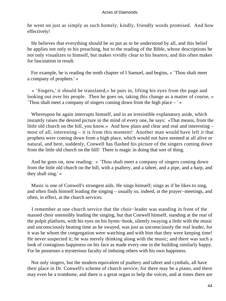he went on just as simply as such homely, kindly, friendly words promised. And how effectively!

 He believes that everything should be so put as to be understood by all, and this belief he applies not only to his preaching, but to the reading of the Bible, whose descriptions he not only visualizes to himself, but makes vividly clear to his hearers; and this often makes for fascination in result.

 For example, he is reading the tenth chapter of I Samuel, and begins, « `Thou shalt meet a company of prophets.' »

 « `Singers,' it should be translated,» he puts in, lifting his eyes from the page and looking out over his people. Then he goes on, taking this change as a matter of course, « `Thou shalt meet a company of singers coming down from the high place – ' »

 Whereupon he again interrupts himself, and in an irresistible explanatory aside, which instantly raises the desired picture in the mind of every one, he says: «That means, from the little old church on the hill, you know.» And how plain and clear and real and interesting – most of all, interesting – it is from this moment! Another man would have left it that prophets were coming down from a high place, which would not have seemed at all alive or natural, and here, suddenly, Conwell has flashed his picture of the singers coming down from the little old church on the hill! There is magic in doing that sort of thing.

 And he goes on, now reading: « `Thou shalt meet a company of singers coming down from the little old church on the hill, with a psaltery, and a tabret, and a pipe, and a harp, and they shall sing.' »

 Music is one of Conwell's strongest aids. He sings himself; sings as if he likes to sing, and often finds himself leading the singing – usually so, indeed, at the prayer−meetings, and often, in effect, at the church services.

 I remember at one church service that the choir−leader was standing in front of the massed choir ostensibly leading the singing, but that Conwell himself, standing at the rear of the pulpit platform, with his eyes on his hymn−book, silently swaying a little with the music and unconsciously beating time as he swayed, was just as unconsciously the real leader, for it was he whom the congregation were watching and with him that they were keeping time! He never suspected it; he was merely thinking along with the music; and there was such a look of contagious happiness on his face as made every one in the building similarly happy. For he possesses a mysterious faculty of imbuing others with his own happiness.

 Not only singers, but the modern equivalent of psaltery and tabret and cymbals, all have their place in Dr. Conwell's scheme of church service; for there may be a piano, and there may even be a trombone, and there is a great organ to help the voices, and at times there are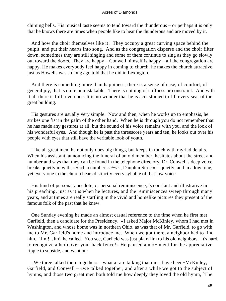chiming bells. His musical taste seems to tend toward the thunderous – or perhaps it is only that he knows there are times when people like to hear the thunderous and are moved by it.

 And how the choir themselves like it! They occupy a great curving space behind the pulpit, and put their hearts into song. And as the congregation disperse and the choir filter down, sometimes they are still singing and some of them continue to sing as they go slowly out toward the doors. They are happy – Conwell himself is happy – all the congregation are happy. He makes everybody feel happy in coming to church; he makes the church attractive just as Howells was so long ago told that he did in Lexington.

 And there is something more than happiness; there is a sense of ease, of comfort, of general joy, that is quite unmistakable. There is nothing of stiffness or constraint. And with it all there is full reverence. It is no wonder that he is accustomed to fill every seat of the great building.

 His gestures are usually very simple. Now and then, when he works up to emphasis, he strikes one fist in the palm of the other hand. When he is through you do not remember that he has made any gestures at all, but the sound of his voice remains with you, and the look of his wonderful eyes. And though he is past the threescore years and ten, he looks out over his people with eyes that still have the veritable look of youth.

 Like all great men, he not only does big things, but keeps in touch with myriad details. When his assistant, announcing the funeral of an old member, hesitates about the street and number and says that they can be found in the telephone directory, Dr. Conwell's deep voice breaks quietly in with, «Such a number [giving it], Dauphin Street» – quietly, and in a low tone, yet every one in the church hears distinctly every syllable of that low voice.

 His fund of personal anecdote, or personal reminiscence, is constant and illustrative in his preaching, just as it is when he lectures, and the reminiscences sweep through many years, and at times are really startling in the vivid and homelike pictures they present of the famous folk of the past that he knew.

 One Sunday evening he made an almost casual reference to the time when he first met Garfield, then a candidate for the Presidency. «I asked Major McKinley, whom I had met in Washington, and whose home was in northern Ohio, as was that of Mr. Garfield, to go with me to Mr. Garfield's home and introduce me. When we got there, a neighbor had to find him. `Jim! Jim!' he called. You see, Garfield was just plain Jim to his old neighbors. It's hard to recognize a hero over your back fence!» He paused a mo− ment for the appreciative ripple to subside, and went on:

 «We three talked there together» – what a rare talking that must have been−McKinley, Garfield, and Conwell – «we talked together, and after a while we got to the subject of hymns, and those two great men both told me how deeply they loved the old hymn, `The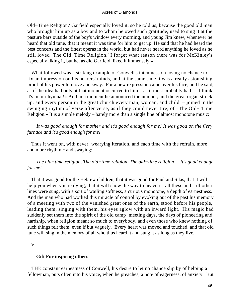Old−Time Religion.' Garfield especially loved it, so he told us, because the good old man who brought him up as a boy and to whom he owed such gratitude, used to sing it at the pasture bars outside of the boy's window every morning, and young Jim knew, whenever he heard that old tune, that it meant it was time for him to get up. He said that he had heard the best concerts and the finest operas in the world, but had never heard anything he loved as he still loved `The Old−Time Religion.' I forget what reason there was for McKinley's especially liking it, but he, as did Garfield, liked it immensely.»

 What followed was a striking example of Conwell's intentness on losing no chance to fix an impression on his hearers' minds, and at the same time it was a really astonishing proof of his power to move and sway. For a new expression came over his face, and he said, as if the idea had only at that moment occurred to him – as it most probably had – «I think it's in our hymnal!» And in a moment he announced the number, and the great organ struck up, and every person in the great church every man, woman, and child – joined in the swinging rhythm of verse after verse, as if they could never tire, of «The Old− Time Religion.» It is a simple melody – barely more than a single line of almost monotone music:

*It was good enough for mother and it's good enough for me! It was good on the fiery furnace and it's good enough for me!*

 Thus it went on, with never−wearying iteration, and each time with the refrain, more and more rhythmic and swaying:

*The old−time religion, The old−time religion, The old−time religion – It's good enough for me!*

 That it was good for the Hebrew children, that it was good for Paul and Silas, that it will help you when you're dying, that it will show the way to heaven – all these and still other lines were sung, with a sort of wailing softness, a curious monotone, a depth of earnestness. And the man who had worked this miracle of control by evoking out of the past his memory of a meeting with two of the vanished great ones of the earth, stood before his people, leading them, singing with them, his eyes aglow with an inward light. His magic had suddenly set them into the spirit of the old camp−meeting days, the days of pioneering and hardship, when religion meant so much to everybody, and even those who knew nothing of such things felt them, even if but vaguely. Every heart was moved and touched, and that old tune will sing in the memory of all who thus heard it and sung it as long as they live.

V

# **Gift For inspiring others**

 THE constant earnestness of Conwell, his desire to let no chance slip by of helping a fellowman, puts often into his voice, when he preaches, a note of eagerness, of anxiety. But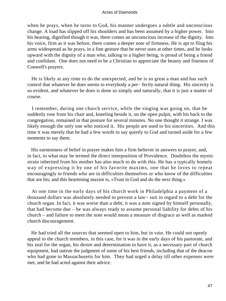when he prays, when he turns to God, his manner undergoes a subtle and unconscious change. A load has slipped off his shoulders and has been assumed by a higher power. Into his bearing, dignified though it was, there comes an unconscious increase of the dignity. Into his voice, firm as it was before, there comes a deeper note of firmness. He is apt to fling his arms widespread as he prays, in a fine gesture that he never uses at other times, and he looks upward with the dignity of a man who, talking to a higher being, is proud of being a friend and confidant. One does not need to be a Christian to appreciate the beauty and fineness of Conwell's prayers.

 He is likely at any time to do the unexpected, and he is so great a man and has such control that whatever he does seems to everybody a per− fectly natural thing. His sincerity is so evident, and whatever he does is done so simply and naturally, that it is just a matter of course.

 I remember, during one church service, while the singing was going on, that he suddenly rose from his chair and, kneeling beside it, on the open pulpit, with his back to the congregation, remained in that posture for several minutes. No one thought it strange. I was likely enough the only one who noticed it. His people are used to his sincerities. And this time it was merely that he had a few words to say quietly to God and turned aside for a few moments to say them.

 His earnestness of belief in prayer makes him a firm believer in answers to prayer, and, in fact, to what may be termed the direct interposition of Providence. Doubtless the mystic strain inherited from his mother has also much to do with this. He has a typically homely way of expressing it by one of his favorite maxims, one that he loves to repeat encouragingly to friends who are in difficulties themselves or who know of the difficulties that are his; and this heartening maxim is, «Trust in God and do the next thing.»

 At one time in the early days of his church work in Philadelphia a payment of a thousand dollars was absolutely needed to prevent a law− suit in regard to a debt for the church organ. In fact, it was worse than a debt; it was a note signed by himself personally, that had become due – he was always ready to assume personal liability for debts of his church – and failure to meet the note would mean a measure of disgrace as well as marked church discouragement.

 He had tried all the sources that seemed open to him, but in vain. He could not openly appeal to the church members, in this case, for it was in the early days of his pastorate, and his zeal for the organ, his desire and determination to have it, as a necessary part of church equipment, had outrun the judgment of some of his best friends, including that of the deacon who had gone to Massachusetts for him. They had urged a delay till other expenses were met, and he had acted against their advice.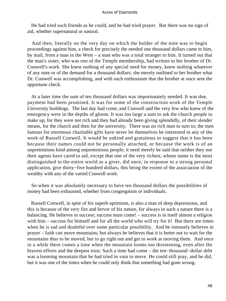He had tried such friends as he could, and he had tried prayer. But there was no sign of aid, whether supernatural or natural.

 And then, literally on the very day on which the holder of the note was to begin proceedings against him, a check for precisely the needed one thousand dollars came to him, by mail, from a man in the West – a man who was a total stranger to him. It turned out that the man's sister, who was one of the Temple membership, had written to her brother of Dr. Conwell's work. She knew nothing of any special need for money, knew nothing whatever of any note or of the demand for a thousand dollars; she merely outlined to her brother what Dr. Conwell was accomplishing, and with such enthusiasm that the brother at once sent the opportune check.

 At a later time the sum of ten thousand dollars was importunately needed. It was due, payment had been promised. It was for some of the construction work of the Temple University buildings. The last day had come, and Conwell and the very few who knew of the emergency were in the depths of gloom. It was too large a sum to ask the church people to make up, for they were not rich and they had already been giving splendidly, of their slender means, for the church and then for the university. There was no rich man to turn to; the men famous for enormous charitable gifts have never let themselves be interested in any of the work of Russell Conwell. It would be unkind and gratuitous to suggest that it has been because their names could not be personally attached, or because the work is of an unpretentious kind among unpretentious people; it need merely be said that neither they nor their agents have cared to aid, except that one of the very richest, whose name is the most distinguished in the entire world as a giver, did once, in response to a strong personal application, give thirty−five hundred dollars, this being the extent of the association of the wealthy with any of the varied Conwell work.

 So when it was absolutely necessary to have ten thousand dollars the possibilities of money had been exhausted, whether from congregation or individuals.

 Russell Conwell, in spite of his superb optimism, is also a man of deep depressions, and this is because of the very fire and fervor of his nature, for always in such a nature there is a balancing. He believes in success; success must come! – success is in itself almost a religion with him – success for himself and for all the world who will try for it! But there are times when he is sad and doubtful over some particular possibility. And he intensely believes in prayer – faith can move mountains; but always he believes that it is better not to wait for the mountains thus to be moved, but to go right out and get to work at moving them. And once in a while there comes a time when the mountain looms too threatening, even after the bravest efforts and the deepest trust. Such a time had come – the ten−thousand−dollar debt was a looming mountain that he had tried in vain to move. He could still pray, and he did, but it was one of the times when he could only think that something had gone wrong.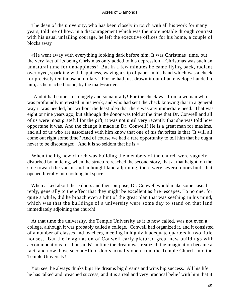The dean of the university, who has been closely in touch with all his work for many years, told me of how, in a discouragement which was the more notable through contrast with his usual unfailing courage, he left the executive offices for his home, a couple of blocks away

 «He went away with everything looking dark before him. It was Christmas−time, but the very fact of its being Christmas only added to his depression – Christmas was such an unnatural time for unhappiness! But in a few minutes he came flying back, radiant, overjoyed, sparkling with happiness, waving a slip of paper in his hand which was a check for precisely ten thousand dollars! For he had just drawn it out of an envelope handed to him, as he reached home, by the mail−carrier.

 «And it had come so strangely and so naturally! For the check was from a woman who was profoundly interested in his work, and who had sent the check knowing that in a general way it was needed, but without the least idea that there was any immediate need. That was eight or nine years ago, but although the donor was told at the time that Dr. Conwell and all of us were most grateful for the gift, it was not until very recently that she was told how opportune it was. And the change it made in Dr. Conwell! He is a great man for maxims, and all of us who are associated with him know that one of his favorites is that `It will all come out right some time!' And of course we had a rare opportunity to tell him that he ought never to be discouraged. And it is so seldom that he is!»

When the big new church was building the members of the church were vaguely disturbed by noticing, when the structure reached the second story, that at that height, on the side toward the vacant and unbought land adjoining, there were several doors built that opened literally into nothing but space!

 When asked about these doors and their purpose, Dr. Conwell would make some casual reply, generally to the effect that they might be excellent as fire−escapes. To no one, for quite a while, did he broach even a hint of the great plan that was seething in his mind, which was that the buildings of a university were some day to stand on that land immediately adjoining the church!

 At that time the university, the Temple University as it is now called, was not even a college, although it was probably called a college. Conwell had organized it, and it consisted of a number of classes and teachers, meeting in highly inadequate quarters in two little houses. But the imagination of Conwell early pictured great new buildings with accommodations for thousands! In time the dream was realized, the imagination became a fact, and now those second−floor doors actually open from the Temple Church into the Temple University!

 You see, he always thinks big! He dreams big dreams and wins big success. All his life he has talked and preached success, and it is a real and very practical belief with him that it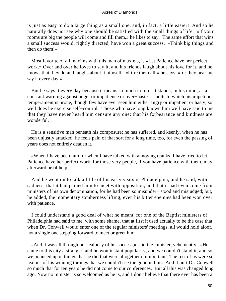is just as easy to do a large thing as a small one, and, in fact, a little easier! And so he naturally does not see why one should be satisfied with the small things of life. «If your rooms are big the people will come and fill them,» he likes to say. The same effort that wins a small success would, rightly directed, have won a great success. «Think big things and then do them!»

 Most favorite of all maxims with this man of maxims, is «Let Patience have her perfect work.» Over and over he loves to say it, and his friends laugh about his love for it, and he knows that they do and laughs about it himself. «I tire them all,» he says, «for they hear me say it every day.»

 But he says it every day because it means so much to him. It stands, in his mind, as a constant warning against anger or impatience or over−haste – faults to which his impetuous temperament is prone, though few have ever seen him either angry or impatient or hasty, so well does he exercise self−control. Those who have long known him well have said to me that they have never heard him censure any one; that his forbearance and kindness are wonderful.

 He is a sensitive man beneath his composure; he has suffered, and keenly, when he has been unjustly attacked; he feels pain of that sort for a long time, too, for even the passing of years does not entirely deaden it.

 «When I have been hurt, or when I have talked with annoying cranks, I have tried to let Patience have her perfect work, for those very people, if you have patience with them, may afterward be of help.»

 And he went on to talk a little of his early years in Philadelphia, and he said, with sadness, that it had pained him to meet with opposition, and that it had even come from ministers of his own denomination, for he had been so misunder− stood and misjudged; but, he added, the momentary somberness lifting, even his bitter enemies had been won over with patience.

 I could understand a good deal of what he meant, for one of the Baptist ministers of Philadelphia had said to me, with some shame, that at first it used actually to be the case that when Dr. Conwell would enter one of the regular ministers' meetings, all would hold aloof, not a single one stepping forward to meet or greet him.

 «And it was all through our jealousy of his success,» said the minister, vehemently. «He came to this city a stranger, and he won instant popularity, and we couldn't stand it, and so we pounced upon things that he did that were altogether unimportant. The rest of us were so jealous of his winning throngs that we couldn't see the good in him. And it hurt Dr. Conwell so much that for ten years he did not come to our conferences. But all this was changed long ago. Now no minister is so welcomed as he is, and I don't believe that there ever has been a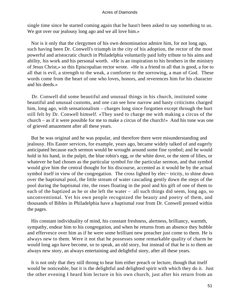single time since he started coming again that he hasn't been asked to say something to us. We got over our jealousy long ago and we all love him.»

 Nor is it only that the clergymen of his own denomination admire him, for not long ago, such having been Dr. Conwell's triumph in the city of his adoption, the rector of the most powerful and aristocratic church in Philadelphia voluntarily paid lofty tribute to his aims and ability, his work and his personal worth. «He is an inspiration to his brothers in the ministry of Jesus Christ,» so this Episcopalian rector wrote. «He is a friend to all that is good, a foe to all that is evil, a strength to the weak, a comforter to the sorrowing, a man of God. These words come from the heart of one who loves, honors, and reverences him for his character and his deeds.»

 Dr. Conwell did some beautiful and unusual things in his church, instituted some beautiful and unusual customs, and one can see how narrow and hasty criticisms charged him, long ago, with sensationalism – charges long since forgotten except through the hurt still felt by Dr. Conwell himself. «They used to charge me with making a circus of the church – as if it were possible for me to make a circus of the church!» And his tone was one of grieved amazement after all these years.

 But he was original and he was popular, and therefore there were misunderstanding and jealousy. His Easter services, for example, years ago, became widely talked of and eagerly anticipated because each sermon would be wrought around some fine symbol; and he would hold in his hand, in the pulpit, the blue robin's egg, or the white dove, or the stem of lilies, or whatever he had chosen as the particular symbol for the particular sermon, and that symbol would give him the central thought for his discourse, accented as it would be by the actual symbol itself in view of the congregation. The cross lighted by elec− tricity, to shine down over the baptismal pool, the little stream of water cascading gently down the steps of the pool during the baptismal rite, the roses floating in the pool and his gift of one of them to each of the baptized as he or she left the water – all such things did seem, long ago, so unconventional. Yet his own people recognized the beauty and poetry of them, and thousands of Bibles in Philadelphia have a baptismal rose from Dr. Conwell pressed within the pages.

 His constant individuality of mind, his constant freshness, alertness, brilliancy, warmth, sympathy, endear him to his congregation, and when he returns from an absence they bubble and effervesce over him as if he were some brilliant new preacher just come to them. He is always new to them. Were it not that he possesses some remarkable quality of charm he would long ago have become, so to speak, an old story, but instead of that he is to them an always new story, an always entertaining and delightful story, after all these years.

 It is not only that they still throng to hear him either preach or lecture, though that itself would be noticeable, but it is the delightful and delighted spirit with which they do it. Just the other evening I heard him lecture in his own church, just after his return from an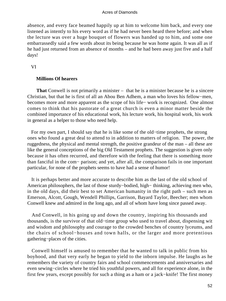absence, and every face beamed happily up at him to welcome him back, and every one listened as intently to his every word as if he had never been heard there before; and when the lecture was over a huge bouquet of flowers was handed up to him, and some one embarrassedly said a few words about its being because he was home again. It was all as if he had just returned from an absence of months – and he had been away just five and a half days!

VI

# **Millions Of hearers**

**That** Conwell is not primarily a minister – that he is a minister because he is a sincere Christian, but that he is first of all an Abou Ben Adhem, a man who loves his fellow−men, becomes more and more apparent as the scope of his life− work is recognized. One almost comes to think that his pastorate of a great church is even a minor matter beside the combined importance of his educational work, his lecture work, his hospital work, his work in general as a helper to those who need help.

 For my own part, I should say that he is like some of the old−time prophets, the strong ones who found a great deal to attend to in addition to matters of religion. The power, the ruggedness, the physical and mental strength, the positive grandeur of the man – all these are like the general conceptions of the big Old Testament prophets. The suggestion is given only because it has often recurred, and therefore with the feeling that there is something more than fanciful in the com− parison; and yet, after all, the comparison fails in one important particular, for none of the prophets seems to have had a sense of humor!

 It is perhaps better and more accurate to describe him as the last of the old school of American philosophers, the last of those sturdy−bodied, high− thinking, achieving men who, in the old days, did their best to set American humanity in the right path – such men as Emerson, Alcott, Gough, Wendell Phillips, Garrison, Bayard Taylor, Beecher; men whom Conwell knew and admired in the long ago, and all of whom have long since passed away.

 And Conwell, in his going up and down the country, inspiring his thousands and thousands, is the survivor of that old−time group who used to travel about, dispensing wit and wisdom and philosophy and courage to the crowded benches of country lyceums, and the chairs of school−houses and town halls, or the larger and more pretentious gathering−places of the cities.

 Conwell himself is amused to remember that he wanted to talk in public from his boyhood, and that very early he began to yield to the inborn impulse. He laughs as he remembers the variety of country fairs and school commencements and anniversaries and even sewing−circles where he tried his youthful powers, and all for experience alone, in the first few years, except possibly for such a thing as a ham or a jack−knife! The first money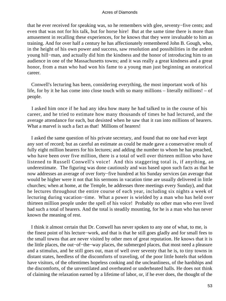that he ever received for speaking was, so he remembers with glee, seventy−five cents; and even that was not for his talk, but for horse hire! But at the same time there is more than amusement in recalling these experiences, for he knows that they were invaluable to him as training. And for over half a century he has affectionately remembered John B. Gough, who, in the height of his own power and success, saw resolution and possibilities in the ardent young hill−man, and actually did him the kindness and the honor of introducing him to an audience in one of the Massachusetts towns; and it was really a great kindness and a great honor, from a man who had won his fame to a young man just beginning an oratorical career.

 Conwell's lecturing has been, considering everything, the most important work of his life, for by it he has come into close touch with so many millions – literally millions! – of people.

 I asked him once if he had any idea how many he had talked to in the course of his career, and he tried to estimate how many thousands of times he had lectured, and the average attendance for each, but desisted when he saw that it ran into millions of hearers. What a marvel is such a fact as that! Millions of hearers!

 I asked the same question of his private secretary, and found that no one had ever kept any sort of record; but as careful an estimate as could be made gave a conservative result of fully eight million hearers for his lectures; and adding the number to whom he has preached, who have been over five million, there is a total of well over thirteen million who have listened to Russell Conwell's voice! And this staggering total is, if anything, an underestimate. The figuring was done cautiously and was based upon such facts as that he now addresses an average of over forty−five hundred at his Sunday services (an average that would be higher were it not that his sermons in vacation time are usually delivered in little churches; when at home, at the Temple, he addresses three meetings every Sunday), and that he lectures throughout the entire course of each year, including six nights a week of lecturing during vacation−time. What a power is wielded by a man who has held over thirteen million people under the spell of his voice! Probably no other man who ever lived had such a total of hearers. And the total is steadily mounting, for he is a man who has never known the meaning of rest.

 I think it almost certain that Dr. Conwell has never spoken to any one of what, to me, is the finest point of his lecture−work, and that is that he still goes gladly and for small fees to the small towns that are never visited by other men of great reputation. He knows that it is the little places, the out−of−the−way places, the submerged places, that most need a pleasure and a stimulus, and he still goes out, man of well over seventy that he is, to tiny towns in distant states, heedless of the discomforts of traveling, of the poor little hotels that seldom have visitors, of the oftentimes hopeless cooking and the uncleanliness, of the hardships and the discomforts, of the unventilated and overheated or underheated halls. He does not think of claiming the relaxation earned by a lifetime of labor, or, if he ever does, the thought of the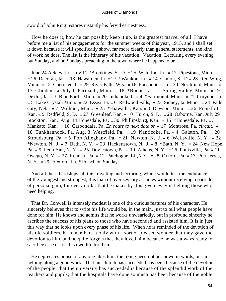sword of John Ring restores instantly his fervid earnestness.

 How he does it, how he can possibly keep it up, is the greatest marvel of all. I have before me a list of his engagements for the summer weeks of this year, 1915, and I shall set it down because it will specifically show, far more clearly than general statements, the kind of work he does. The list is the itinerary of his vacation. Vacation! Lecturing every evening but Sunday, and on Sundays preaching in the town where he happens to be!

 June 24 Ackley, Ia. July 11 \*Brookings, S. D. « 25 Waterloo, Ia. « 12 Pipestone, Minn. « 26 Decorah, Ia. « 13 Hawarden, Ia. « 27 \*Waukon, Ia. « 14 Canton, S. D « 28 Red Wing, Minn. « 15 Cherokee, Ia « 29 River Falls, Wis. « 16 Pocahontas, Ia « 30 Northfield, Minn. « 17 Glidden, Ia. July 1 Faribault, Minn. « 18 \*Boone, Ia. « 2 Spring Valley, Minn. « 19 Dexter, Ia. « 3 Blue Earth, Minn. « 20 Indianola, Ia « 4 \*Fairmount, Minn. « 21 Corydon, Ia « 5 Lake Crystal, Minn. « 22 Essex, Ia. « 6 Redwood Falls, « 23 Sidney, Ia. Minn. « 24 Falls City, Nebr. « 7 Willmer, Minn. « 25 \*Hiawatha, Kan. « 8 Dawson, Minn. « 26 Frankfort, Kan. « 9 Redfield, S. D. « 27 Greenleaf, Kan. « 10 Huron, S. D. « 28 Osborne, Kan. July 29 Stockton, Kan. Aug. 14 Honesdale, Pa. « 30 Phillipsburg, Kan. « 15 \*Honesdale, Pa. « 31 Mankato, Kan. « 16 Carbondale, Pa. *En route to next date on* « 17 Montrose, Pa. *circuit*. « 18 Tunkhannock, Pa. Aug. 3 Westfield, Pa. « 19 Nanticoke, Pa. « 4 Galston, Pa. « 20 Stroudsburg, Pa. « 5 Port Alleghany, Pa. « 21 Newton, N. J. « 6 Wellsville, N. Y. « 22 \*Newton, N. J. « 7 Bath, N. Y. « 23 Hackettstown, N. J. «  $8$  \*Bath, N. Y. « 24 New Hope, Pa. « 9 Penn Yan, N. Y. « 25 Doylestown, Pa. « 10 Athens, N. Y. « 26 Phnixville, Pa. « 11 Owego, N. Y. « 27 Kennett, Pa. « 12 Patchogue, LI.,N.Y. « 28 Oxford, Pa. « 13 Port Jervis, N. Y. « 29 \*Oxford, Pa. \* Preach on Sunday.

 And all these hardships, all this traveling and lecturing, which would test the endurance of the youngest and strongest, this man of over seventy assumes without receiving a particle of personal gain, for every dollar that he makes by it is given away in helping those who need helping.

 That Dr. Conwell is intensely modest is one of the curious features of his character. He sincerely believes that to write his life would be, in the main, just to tell what people have done for him. He knows and admits that he works unweariedly, but in profound sincerity he ascribes the success of his plans to those who have seconded and assisted him. It is in just this way that he looks upon every phase of his life. When he is reminded of the devotion of his old soldiers, he remembers it only with a sort of pleased wonder that they gave the devotion to him, and he quite forgets that they loved him because he was always ready to sacrifice ease or risk his own life for them.

 He deprecates praise; if any one likes him, the liking need not be shown in words, but in helping along a good work. That his church has succeeded has been because of the devotion of the people; that the university has succeeded is because of the splendid work of the teachers and pupils; that the hospitals have done so much has been because of the noble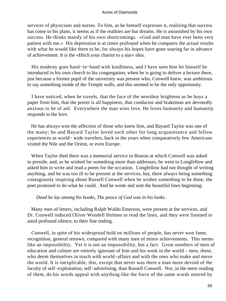services of physicians and nurses. To him, as he himself expresses it, realizing that success has come to his plans, it seems as if the realities are but dreams. He is astonished by his own success. He thinks mainly of his own shortcomings. «God and man have ever been very patient with me.» His depression is at times profound when he compares the actual results with what he would like them to be, for always his hopes have gone soaring far in advance of achievement. It is the «Hitch your chariot to a star» idea.

 His modesty goes hand−in−hand with kindliness, and I have seen him let himself be introduced in his own church to his congregation, when he is going to deliver a lecture there, just because a former pupil of the university was present who, Conwell knew, was ambitious to say something inside of the Temple walls, and this seemed to be the only opportunity.

 I have noticed, when he travels, that the face of the newsboy brightens as he buys a paper from him, that the porter is all happiness, that conductor and brakeman are devotedly anxious to be of aid. Everywhere the man wins love. He loves humanity and humanity responds to the love.

 He has always won the affection of those who knew him, and Bayard Taylor was one of the many; he and Bayard Taylor loved each other for long acquaintance and fellow experiences as world− wide travelers, back in the years when comparatively few Americans visited the Nile and the Orient, or even Europe.

 When Taylor died there was a memorial service in Boston at which Conwell was asked to preside, and, as he wished for something more than addresses, he went to Longfellow and asked him to write and read a poem for the occasion. Longfellow had not thought of writing anything, and he was too ill to be present at the services, but, there always being something contagiously inspiring about Russell Conwell when he wishes something to be done, the poet promised to do what he could. And he wrote and sent the beautiful lines beginning:

# *Dead he lay among his books, The peace of God was in his looks*.

 Many men of letters, including Ralph Waldo Emerson, were present at the services, and Dr. Conwell induced Oliver Wendell Holmes to read the lines, and they were listened to amid profound silence, to their fine ending.

 Conwell, in spite of his widespread hold on millions of people, has never won fame, recognition, general renown, compared with many men of minor achievements. This seems like an impossibility. Yet it is not an impossibility, but a fact. Great numbers of men of education and culture are entirely ignorant of him and his work in the world – men, these, who deem themselves in touch with world−affairs and with the ones who make and move the world. It is inexplicable, this, except that never was there a man more devoid of the faculty of self−exploitation, self−advertising, than Russell Conwell. Nor, in the mere reading of them, do his words appeal with anything like the force of the same words uttered by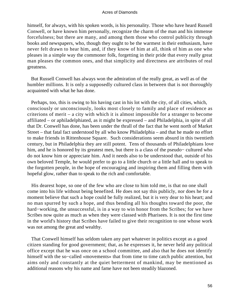himself, for always, with his spoken words, is his personality. Those who have heard Russell Conwell, or have known him personally, recognize the charm of the man and his immense forcefulness; but there are many, and among them those who control publicity through books and newspapers, who, though they ought to be the warmest in their enthusiasm, have never felt drawn to hear him, and, if they know of him at all, think of him as one who pleases in a simple way the commoner folk, forgetting in their pride that every really great man pleases the common ones, and that simplicity and directness are attributes of real greatness.

 But Russell Conwell has always won the admiration of the really great, as well as of the humbler millions. It is only a supposedly cultured class in between that is not thoroughly acquainted with what he has done.

 Perhaps, too, this is owing to his having cast in his lot with the city, of all cities, which, consciously or unconsciously, looks most closely to family and place of residence as criterions of merit – a city with which it is almost impossible for a stranger to become affiliated – or aphiladelphiated, as it might be expressed – and Philadelphia, in spite of all that Dr. Conwell has done, has been under the thrall of the fact that he went north of Market Street – that fatal fact understood by all who know Philadelphia – and that he made no effort to make friends in Rittenhouse Square. Such considerations seem absurd in this twentieth century, but in Philadelphia they are still potent. Tens of thousands of Philadelphians love him, and he is honored by its greatest men, but there is a class of the pseudo− cultured who do not know him or appreciate him. And it needs also to be understood that, outside of his own beloved Temple, he would prefer to go to a little church or a little hall and to speak to the forgotten people, in the hope of encouraging and inspiring them and filling them with hopeful glow, rather than to speak to the rich and comfortable.

 His dearest hope, so one of the few who are close to him told me, is that no one shall come into his life without being benefited. He does not say this publicly, nor does he for a moment believe that such a hope could be fully realized, but it is very dear to his heart; and no man spurred by such a hope, and thus bending all his thoughts toward the poor, the hard−working, the unsuccessful, is in a way to win honor from the Scribes; for we have Scribes now quite as much as when they were classed with Pharisees. It is not the first time in the world's history that Scribes have failed to give their recognition to one whose work was not among the great and wealthy.

 That Conwell himself has seldom taken any part whatever in politics except as a good citizen standing for good government; that, as he expresses it, he never held any political office except that he was once on a school committee, and also that he does not identify himself with the so−called «movements» that from time to time catch public attention, but aims only and constantly at the quiet betterment of mankind, may be mentioned as additional reasons why his name and fame have not been steadily blazoned.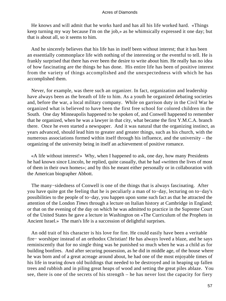He knows and will admit that he works hard and has all his life worked hard. «Things keep turning my way because I'm on the job,» as he whimsically expressed it one day; but that is about all, so it seems to him.

 And he sincerely believes that his life has in itself been without interest; that it has been an essentially commonplace life with nothing of the interesting or the eventful to tell. He is frankly surprised that there has ever been the desire to write about him. He really has no idea of how fascinating are the things he has done. His entire life has been of positive interest from the variety of things accomplished and the unexpectedness with which he has accomplished them.

 Never, for example, was there such an organizer. In fact, organization and leadership have always been as the breath of life to him. As a youth he organized debating societies and, before the war, a local military company. While on garrison duty in the Civil War he organized what is believed to have been the first free school for colored children in the South. One day Minneapolis happened to be spoken of, and Conwell happened to remember that he organized, when he was a lawyer in that city, what became the first Y.M.C.A. branch there. Once he even started a newspaper. And it was natural that the organizing instinct, as years advanced, should lead him to greater and greater things, such as his church, with the numerous associations formed within itself through his influence, and the university – the organizing of the university being in itself an achievement of positive romance.

 «A life without interest!» Why, when I happened to ask, one day, how many Presidents he had known since Lincoln, he replied, quite casually, that he had «written the lives of most of them in their own homes»; and by this he meant either personally or in collaboration with the American biographer Abbott.

 The many−sidedness of Conwell is one of the things that is always fascinating. After you have quite got the feeling that he is peculiarly a man of to−day, lecturing on to−day's possibilities to the people of to−day, you happen upon some such fact as that he attracted the attention of the London *Times* through a lecture on Italian history at Cambridge in England; or that on the evening of the day on which he was admitted to practice in the Supreme Court of the United States he gave a lecture in Washington on «The Curriculum of the Prophets in Ancient Israel.» The man's life is a succession of delightful surprises.

 An odd trait of his character is his love for fire. He could easily have been a veritable fire− worshiper instead of an orthodox Christian! He has always loved a blaze, and he says reminiscently that for no single thing was he punished so much when he was a child as for building bonfires. And after securing possession, as he did in middle age, of the house where he was born and of a great acreage around about, he had one of the most enjoyable times of his life in tearing down old buildings that needed to be destroyed and in heaping up fallen trees and rubbish and in piling great heaps of wood and setting the great piles ablaze. You see, there is one of the secrets of his strength – he has never lost the capacity for fiery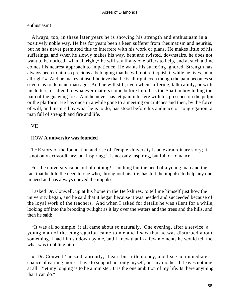# enthusiasm!

 Always, too, in these later years he is showing his strength and enthusiasm in a positively noble way. He has for years been a keen sufferer from rheumatism and neuritis, but he has never permitted this to interfere with his work or plans. He makes little of his sufferings, and when he slowly makes his way, bent and twisted, downstairs, he does not want to be noticed. «I'm all right,» he will say if any one offers to help, and at such a time comes his nearest approach to impatience. He wants his suffering ignored. Strength has always been to him so precious a belonging that he will not relinquish it while he lives. «I'm all right!» And he makes himself believe that he is all right even though the pain becomes so severe as to demand massage. And he will still, even when suffering, talk calmly, or write his letters, or attend to whatever matters come before him. It is the Spartan boy hiding the pain of the gnawing fox. And he never has let pain interfere with his presence on the pulpit or the platform. He has once in a while gone to a meeting on crutches and then, by the force of will, and inspired by what he is to do, has stood before his audience or congregation, a man full of strength and fire and life.

# VII

# HOW **A university was founded**

 THE story of the foundation and rise of Temple University is an extraordinary story; it is not only extraordinary, but inspiring; it is not only inspiring, but full of romance.

 For the university came out of nothing! – nothing but the need of a young man and the fact that he told the need to one who, throughout his life, has felt the impulse to help any one in need and has always obeyed the impulse.

 I asked Dr. Conwell, up at his home in the Berkshires, to tell me himself just how the university began, and he said that it began because it was needed and succeeded because of the loyal work of the teachers. And when I asked for details he was silent for a while, looking off into the brooding twilight as it lay over the waters and the trees and the hills, and then he said:

 «It was all so simple; it all came about so naturally. One evening, after a service, a young man of the congregation came to me and I saw that he was disturbed about something. I had him sit down by me, and I knew that in a few moments he would tell me what was troubling him.

 « `Dr. Conwell,' he said, abruptly, `I earn but little money, and I see no immediate chance of earning more. I have to support not only myself, but my mother. It leaves nothing at all. Yet my longing is to be a minister. It is the one ambition of my life. Is there anything that I can do?'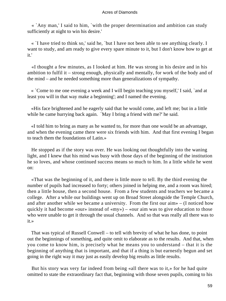« `Any man,' I said to him, `with the proper determination and ambition can study sufficiently at night to win his desire.'

 « `I have tried to think so,' said he, `but I have not been able to see anything clearly. I want to study, and am ready to give every spare minute to it, but I don't know how to get at it.'

 «I thought a few minutes, as I looked at him. He was strong in his desire and in his ambition to fulfil it – strong enough, physically and mentally, for work of the body and of the mind – and he needed something more than generalizations of sympathy.

 « `Come to me one evening a week and I will begin teaching you myself,' I said, `and at least you will in that way make a beginning'; and I named the evening.

 «His face brightened and he eagerly said that he would come, and left me; but in a little while he came hurrying back again. `May I bring a friend with me?' he said.

 «I told him to bring as many as he wanted to, for more than one would be an advantage, and when the evening came there were six friends with him. And that first evening I began to teach them the foundations of Latin.»

 He stopped as if the story was over. He was looking out thoughtfully into the waning light, and I knew that his mind was busy with those days of the beginning of the institution he so loves, and whose continued success means so much to him. In a little while he went on:

 «That was the beginning of it, and there is little more to tell. By the third evening the number of pupils had increased to forty; others joined in helping me, and a room was hired; then a little house, then a second house. From a few students and teachers we became a college. After a while our buildings went up on Broad Street alongside the Temple Church, and after another while we became a university. From the first our aim» – (I noticed how quickly it had become «our» instead of «my») – «our aim was to give education to those who were unable to get it through the usual channels. And so that was really all there was to it.»

 That was typical of Russell Conwell – to tell with brevity of what he has done, to point out the beginnings of something, and quite omit to elaborate as to the results. And that, when you come to know him, is precisely what he means you to understand – that it is the beginning of anything that is important, and that if a thing is but earnestly begun and set going in the right way it may just as easily develop big results as little results.

 But his story was very far indeed from being «all there was to it,» for he had quite omitted to state the extraordinary fact that, beginning with those seven pupils, coming to his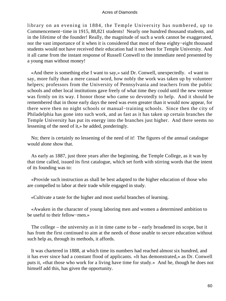library on an evening in 1884, the Temple University has numbered, up to Commencement−time in 1915, 88,821 students! Nearly one hundred thousand students, and in the lifetime of the founder! Really, the magnitude of such a work cannot be exaggerated, nor the vast importance of it when it is considered that most of these eighty−eight thousand students would not have received their education had it not been for Temple University. And it all came from the instant response of Russell Conwell to the immediate need presented by a young man without money!

 «And there is something else I want to say,» said Dr. Conwell, unexpectedly. «I want to say, more fully than a mere casual word, how nobly the work was taken up by volunteer helpers; professors from the University of Pennsylvania and teachers from the public schools and other local institutions gave freely of what time they could until the new venture was firmly on its way. I honor those who came so devotedly to help. And it should be remembered that in those early days the need was even greater than it would now appear, for there were then no night schools or manual−training schools. Since then the city of Philadelphia has gone into such work, and as fast as it has taken up certain branches the Temple University has put its energy into the branches just higher. And there seems no lessening of the need of it,» he added, ponderingly.

 No; there is certainly no lessening of the need of it! The figures of the annual catalogue would alone show that.

 As early as 1887, just three years after the beginning, the Temple College, as it was by that time called, issued its first catalogue, which set forth with stirring words that the intent of its founding was to:

 «Provide such instruction as shall be best adapted to the higher education of those who are compelled to labor at their trade while engaged in study.

«Cultivate a taste for the higher and most useful branches of learning.

 «Awaken in the character of young laboring men and women a determined ambition to be useful to their fellow−men.»

 The college – the university as it in time came to be – early broadened its scope, but it has from the first continued to aim at the needs of those unable to secure education without such help as, through its methods, it affords.

 It was chartered in 1888, at which time its numbers had reached almost six hundred, and it has ever since had a constant flood of applicants. «It has demonstrated,» as Dr. Conwell puts it, «that those who work for a living have time for study.» And he, though he does not himself add this, has given the opportunity.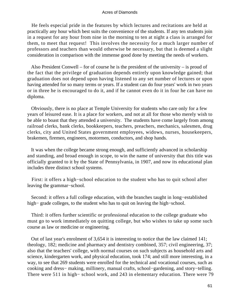He feels especial pride in the features by which lectures and recitations are held at practically any hour which best suits the convenience of the students. If any ten students join in a request for any hour from nine in the morning to ten at night a class is arranged for them, to meet that request! This involves the necessity for a much larger number of professors and teachers than would otherwise be necessary, but that is deemed a slight consideration in comparison with the immense good done by meeting the needs of workers.

 Also President Conwell – for of course he is the president of the university – is proud of the fact that the privilege of graduation depends entirely upon knowledge gained; that graduation does not depend upon having listened to any set number of lectures or upon having attended for so many terms or years. If a student can do four years' work in two years or in three he is encouraged to do it, and if he cannot even do it in four he can have no diploma.

 Obviously, there is no place at Temple University for students who care only for a few years of leisured ease. It is a place for workers, and not at all for those who merely wish to be able to boast that they attended a university. The students have come largely from among railroad clerks, bank clerks, bookkeepers, teachers, preachers, mechanics, salesmen, drug clerks, city and United States government employees, widows, nurses, housekeepers, brakemen, firemen, engineers, motormen, conductors, and shop hands.

 It was when the college became strong enough, and sufficiently advanced in scholarship and standing, and broad enough in scope, to win the name of university that this title was officially granted to it by the State of Pennsylvania, in 1907, and now its educational plan includes three distinct school systems.

 First: it offers a high−school education to the student who has to quit school after leaving the grammar−school.

 Second: it offers a full college education, with the branches taught in long−established high− grade colleges, to the student who has to quit on leaving the high−school.

 Third: it offers further scientific or professional education to the college graduate who must go to work immediately on quitting college, but who wishes to take up some such course as law or medicine or engineering.

 Out of last year's enrolment of 3,654 it is interesting to notice that the law claimed 141; theology, 182; medicine and pharmacy and dentistry combined, 357; civil engineering, 37; also that the teachers' college, with normal courses on such subjects as household arts and science, kindergarten work, and physical education, took 174; and still more interesting, in a way, to see that 269 students were enrolled for the technical and vocational courses, such as cooking and dress− making, millinery, manual crafts, school−gardening, and story−telling. There were 511 in high− school work, and 243 in elementary education. There were 79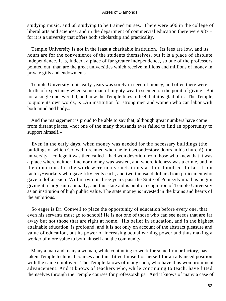studying music, and 68 studying to be trained nurses. There were 606 in the college of liberal arts and sciences, and in the department of commercial education there were 987 – for it is a university that offers both scholarship and practicality.

 Temple University is not in the least a charitable institution. Its fees are low, and its hours are for the convenience of the students themselves, but it is a place of absolute independence. It is, indeed, a place of far greater independence, so one of the professors pointed out, than are the great universities which receive millions and millions of money in private gifts and endowments.

 Temple University in its early years was sorely in need of money, and often there were thrills of expectancy when some man of mighty wealth seemed on the point of giving. But not a single one ever did, and now the Temple likes to feel that it is glad of it. The Temple, to quote its own words, is «An institution for strong men and women who can labor with both mind and body.»

 And the management is proud to be able to say that, although great numbers have come from distant places, «not one of the many thousands ever failed to find an opportunity to support himself.»

 Even in the early days, when money was needed for the necessary buildings (the buildings of which Conwell dreamed when he left second−story doors in his church!), the university – college it was then called – had won devotion from those who knew that it was a place where neither time nor money was wasted, and where idleness was a crime, and in the donations for the work were many such items as four hundred dollars from factory−workers who gave fifty cents each, and two thousand dollars from policemen who gave a dollar each. Within two or three years past the State of Pennsylvania has begun giving it a large sum annually, and this state aid is public recognition of Temple University as an institution of high public value. The state money is invested in the brains and hearts of the ambitious.

 So eager is Dr. Conwell to place the opportunity of education before every one, that even his servants must go to school! He is not one of those who can see needs that are far away but not those that are right at home. His belief in education, and in the highest attainable education, is profound, and it is not only on account of the abstract pleasure and value of education, but its power of increasing actual earning power and thus making a worker of more value to both himself and the community.

 Many a man and many a woman, while continuing to work for some firm or factory, has taken Temple technical courses and thus fitted himself or herself for an advanced position with the same employer. The Temple knows of many such, who have thus won prominent advancement. And it knows of teachers who, while continuing to teach, have fitted themselves through the Temple courses for professorships. And it knows of many a case of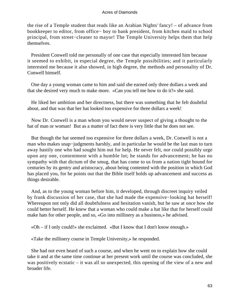the rise of a Temple student that reads like an Arabian Nights' fancy! – of advance from bookkeeper to editor, from office− boy to bank president, from kitchen maid to school principal, from street−cleaner to mayor! The Temple University helps them that help themselves.

 President Conwell told me personally of one case that especially interested him because it seemed to exhibit, in especial degree, the Temple possibilities; and it particularly interested me because it also showed, in high degree, the methods and personality of Dr. Conwell himself.

 One day a young woman came to him and said she earned only three dollars a week and that she desired very much to make more. «Can you tell me how to do it?» she said.

 He liked her ambition and her directness, but there was something that he felt doubtful about, and that was that her hat looked too expensive for three dollars a week!

 Now Dr. Conwell is a man whom you would never suspect of giving a thought to the hat of man or woman! But as a matter of fact there is very little that he does not see.

 But though the hat seemed too expensive for three dollars a week, Dr. Conwell is not a man who makes snap-judgments harshly, and in particular he would be the last man to turn away hastily one who had sought him out for help. He never felt, nor could possibly urge upon any one, contentment with a humble lot; he stands for advancement; he has no sympathy with that dictum of the smug, that has come to us from a nation tight bound for centuries by its gentry and aristocracy, about being contented with the position in which God has placed you, for he points out that the Bible itself holds up advancement and success as things desirable.

 And, as to the young woman before him, it developed, through discreet inquiry veiled by frank discussion of her case, that she had made the expensive−looking hat herself! Whereupon not only did all doubtfulness and hesitation vanish, but he saw at once how she could better herself. He knew that a woman who could make a hat like that for herself could make hats for other people, and so, «Go into millinery as a business,» he advised.

«Oh – if I only could!» she exclaimed. «But I know that I don't know enough.»

«Take the millinery course in Temple University,» he responded.

 She had not even heard of such a course, and when he went on to explain how she could take it and at the same time continue at her present work until the course was concluded, she was positively ecstatic – it was all so unexpected, this opening of the view of a new and broader life.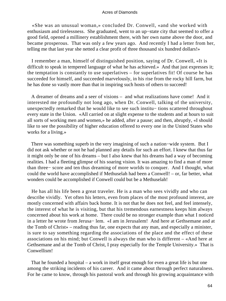«She was an unusual woman,» concluded Dr. Conwell, «and she worked with enthusiasm and tirelessness. She graduated, went to an up−state city that seemed to offer a good field, opened a millinery establishment there, with her own name above the door, and became prosperous. That was only a few years ago. And recently I had a letter from her, telling me that last year she netted a clear profit of three thousand six hundred dollars!»

 I remember a man, himself of distinguished position, saying of Dr. Conwell, «It is difficult to speak in tempered language of what he has achieved.» And that just expresses it; the temptation is constantly to use superlatives – for superlatives fit! Of course he has succeeded for himself, and succeeded marvelously, in his rise from the rocky hill farm, but he has done so vastly more than that in inspiring such hosts of others to succeed!

 A dreamer of dreams and a seer of visions – and what realizations have come! And it interested me profoundly not long ago, when Dr. Conwell, talking of the university, unexpectedly remarked that he would like to see such institu− tions scattered throughout every state in the Union. «All carried on at slight expense to the students and at hours to suit all sorts of working men and women,» he added, after a pause; and then, abruptly, «I should like to see the possibility of higher education offered to every one in the United States who works for a living.»

 There was something superb in the very imagining of such a nation−wide system. But I did not ask whether or not he had planned any details for such an effort. I knew that thus far it might only be one of his dreams – but I also knew that his dreams had a way of becoming realities. I had a fleeting glimpse of his soaring vision. It was amazing to find a man of more than three− score and ten thus dreaming of more worlds to conquer. And I thought, what could the world have accomplished if Methuselah had been a Conwell! – or, far better, what wonders could be accomplished if Conwell could but be a Methuselah!

 He has all his life been a great traveler. He is a man who sees vividly and who can describe vividly. Yet often his letters, even from places of the most profound interest, are mostly concerned with affairs back home. It is not that he does not feel, and feel intensely, the interest of what he is visiting, but that his tremendous earnestness keeps him always concerned about his work at home. There could be no stronger example than what I noticed in a letter he wrote from Jerusa− lem. «I am in Jerusalem! And here at Gethsemane and at the Tomb of Christ» – reading thus far, one expects that any man, and especially a minister, is sure to say something regarding the associations of the place and the effect of these associations on his mind; but Conwell is always the man who is different – «And here at Gethsemane and at the Tomb of Christ, I pray especially for the Temple University.» That is Conwellism!

 That he founded a hospital – a work in itself great enough for even a great life is but one among the striking incidents of his career. And it came about through perfect naturalness. For he came to know, through his pastoral work and through his growing acquaintance with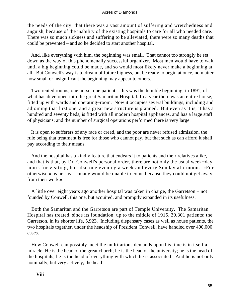the needs of the city, that there was a vast amount of suffering and wretchedness and anguish, because of the inability of the existing hospitals to care for all who needed care. There was so much sickness and suffering to be alleviated, there were so many deaths that could be prevented – and so he decided to start another hospital.

 And, like everything with him, the beginning was small. That cannot too strongly be set down as the way of this phenomenally successful organizer. Most men would have to wait until a big beginning could be made, and so would most likely never make a beginning at all. But Conwell's way is to dream of future bigness, but be ready to begin at once, no matter how small or insignificant the beginning may appear to others.

 Two rented rooms, one nurse, one patient – this was the humble beginning, in 1891, of what has developed into the great Samaritan Hospital. In a year there was an entire house, fitted up with wards and operating−room. Now it occupies several buildings, including and adjoining that first one, and a great new structure is planned. But even as it is, it has a hundred and seventy beds, is fitted with all modern hospital appliances, and has a large staff of physicians; and the number of surgical operations performed there is very large.

 It is open to sufferers of any race or creed, and the poor are never refused admission, the rule being that treatment is free for those who cannot pay, but that such as can afford it shall pay according to their means.

 And the hospital has a kindly feature that endears it to patients and their relatives alike, and that is that, by Dr. Conwell's personal order, there are not only the usual week−day hours for visiting, but also one evening a week and every Sunday afternoon. «For otherwise,» as he says, «many would be unable to come because they could not get away from their work.»

 A little over eight years ago another hospital was taken in charge, the Garretson – not founded by Conwell, this one, but acquired, and promptly expanded in its usefulness.

 Both the Samaritan and the Garretson are part of Temple University. The Samaritan Hospital has treated, since its foundation, up to the middle of 1915, 29,301 patients; the Garretson, in its shorter life, 5,923. Including dispensary cases as well as house patients, the two hospitals together, under the headship of President Conwell, have handled over 400,000 cases.

 How Conwell can possibly meet the multifarious demands upon his time is in itself a miracle. He is the head of the great church; he is the head of the university; he is the head of the hospitals; he is the head of everything with which he is associated! And he is not only nominally, but very actively, the head!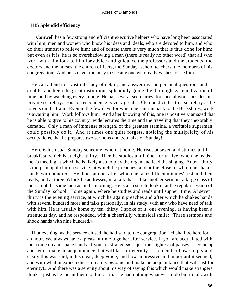### HIS **Splendid efficiency**

**Conwell** has a few strong and efficient executive helpers who have long been associated with him; men and women who know his ideas and ideals, who are devoted to him, and who do their utmost to relieve him; and of course there is very much that is thus done for him; but even as it is, he is so overshadowing a man (there is really no other word) that all who work with him look to him for advice and guidance the professors and the students, the doctors and the nurses, the church officers, the Sunday−school teachers, the members of his congregation. And he is never too busy to see any one who really wishes to see him.

 He can attend to a vast intricacy of detail, and answer myriad personal questions and doubts, and keep the great institutions splendidly going, by thorough systematization of time, and by watching every minute. He has several secretaries, for special work, besides his private secretary. His correspondence is very great. Often he dictates to a secretary as he travels on the train. Even in the few days for which he can run back to the Berkshires, work is awaiting him. Work follows him. And after knowing of this, one is positively amazed that he is able to give to his country−wide lectures the time and the traveling that they inexorably demand. Only a man of immense strength, of the greatest stamina, a veritable superman, could possibly do it. And at times one quite forgets, noticing the multiplicity of his occupations, that he prepares two sermons and two talks on Sunday!

 Here is his usual Sunday schedule, when at home. He rises at seven and studies until breakfast, which is at eight−thirty. Then he studies until nine−forty−five, when he leads a men's meeting at which he is likely also to play the organ and lead the singing. At ten−thirty is the principal church service, at which he preaches, and at the close of which he shakes hands with hundreds. He dines at one, after which he takes fifteen minutes' rest and then reads; and at three o'clock he addresses, in a talk that is like another sermon, a large class of men – not the same men as in the morning. He is also sure to look in at the regular session of the Sunday−school. Home again, where he studies and reads until supper−time. At seven− thirty is the evening service, at which he again preaches and after which he shakes hands with several hundred more and talks personally, in his study, with any who have need of talk with him. He is usually home by ten−thirty. I spoke of it, one evening, as having been a strenuous day, and he responded, with a cheerfully whimsical smile: «Three sermons and shook hands with nine hundred.»

 That evening, as the service closed, he had said to the congregation: «I shall be here for an hour. We always have a pleasant time together after service. If you are acquainted with me, come up and shake hands. If you are strangers» – just the slightest of pauses – «come up and let us make an acquaintance that will last for eternity.» I remember how simply and easily this was said, in his clear, deep voice, and how impressive and important it seemed, and with what unexpectedness it came. «Come and make an acquaintance that will last for eternity!» And there was a serenity about his way of saying this which would make strangers think – just as he meant them to think – that he had nothing whatever to do but to talk with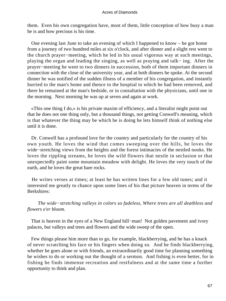them. Even his own congregation have, most of them, little conception of how busy a man he is and how precious is his time.

 One evening last June to take an evening of which I happened to know – he got home from a journey of two hundred miles at six o'clock, and after dinner and a slight rest went to the church prayer−meeting, which he led in his usual vigorous way at such meetings, playing the organ and leading the singing, as well as praying and talk− ing. After the prayer−meeting he went to two dinners in succession, both of them important dinners in connection with the close of the university year, and at both dinners he spoke. At the second dinner he was notified of the sudden illness of a member of his congregation, and instantly hurried to the man's home and thence to the hospital to which he had been removed, and there he remained at the man's bedside, or in consultation with the physicians, until one in the morning. Next morning he was up at seven and again at work.

 «This one thing I do,» is his private maxim of efficiency, and a literalist might point out that he does not one thing only, but a thousand things, not getting Conwell's meaning, which is that whatever the thing may be which he is doing he lets himself think of nothing else until it is done.

 Dr. Conwell has a profound love for the country and particularly for the country of his own youth. He loves the wind that comes sweeping over the hills, he loves the wide−stretching views from the heights and the forest intimacies of the nestled nooks. He loves the rippling streams, he loves the wild flowers that nestle in seclusion or that unexpectedly paint some mountain meadow with delight. He loves the very touch of the earth, and he loves the great bare rocks.

 He writes verses at times; at least he has written lines for a few old tunes; and it interested me greatly to chance upon some lines of his that picture heaven in terms of the Berkshires:

 *The wide−stretching valleys in colors so fadeless, Where trees are all deathless and flowers e'er bloom*.

 That is heaven in the eyes of a New England hill−man! Not golden pavement and ivory palaces, but valleys and trees and flowers and the wide sweep of the open.

 Few things please him more than to go, for example, blackberrying, and he has a knack of never scratching his face or his fingers when doing so. And he finds blackberrying, whether he goes alone or with friends, an extraordinarily good time for planning something he wishes to do or working out the thought of a sermon. And fishing is even better, for in fishing he finds immense recreation and restfulness and at the same time a further opportunity to think and plan.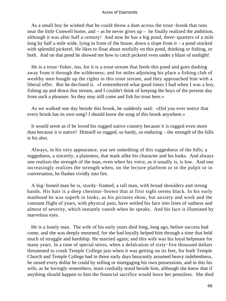As a small boy he wished that he could throw a dam across the trout−brook that runs near the little Conwell home, and – as he never gives up – he finally realized the ambition, although it was after half a century! And now he has a big pond, three−quarters of a mile long by half a mile wide, lying in front of the house, down a slope from it – a pond stocked with splendid pickerel. He likes to float about restfully on this pond, thinking or fishing, or both. And on that pond he showed me how to catch pickerel even under a blaze of sunlight!

 He is a trout−fisher, too, for it is a trout stream that feeds this pond and goes dashing away from it through the wilderness; and for miles adjoining his place a fishing club of wealthy men bought up the rights in this trout stream, and they approached him with a liberal offer. But he declined it. «I remembered what good times I had when I was a boy, fishing up and down that stream, and I couldn't think of keeping the boys of the present day from such a pleasure. So they may still come and fish for trout here.»

 As we walked one day beside this brook, he suddenly said: «Did you ever notice that every brook has its own song? I should know the song of this brook anywhere.»

 It would seem as if he loved his rugged native country because it is rugged even more than because it is native! Himself so rugged, so hardy, so enduring – the strength of the hills is his also.

 Always, in his very appearance, you see something of this ruggedness of the hills; a ruggedness, a sincerity, a plainness, that mark alike his character and his looks. And always one realizes the strength of the man, even when his voice, as it usually is, is low. And one increasingly realizes the strength when, on the lecture platform or in the pulpit or in conversation, he flashes vividly into fire.

 A big−boned man he is, sturdy−framed, a tall man, with broad shoulders and strong hands. His hair is a deep chestnut−brown that at first sight seems black. In his early manhood he was superb in looks, as his pictures show, but anxiety and work and the constant flight of years, with physical pain, have settled his face into lines of sadness and almost of severity, which instantly vanish when he speaks. And his face is illumined by marvelous eyes.

 He is a lonely man. The wife of his early years died long, long ago, before success had come, and she was deeply mourned, for she had loyally helped him through a time that held much of struggle and hardship. He married again; and this wife was his loyal helpmate for many years. In a time of special stress, when a defalcation of sixty−five thousand dollars threatened to crush Temple College just when it was getting on its feet, for both Temple Church and Temple College had in those early days buoyantly assumed heavy indebtedness, he raised every dollar he could by selling or mortgaging his own possessions, and in this his wife, as he lovingly remembers, most cordially stood beside him, although she knew that if anything should happen to him the financial sacrifice would leave her penniless. She died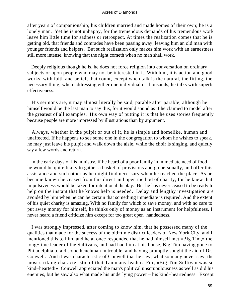after years of companionship; his children married and made homes of their own; he is a lonely man. Yet he is not unhappy, for the tremendous demands of his tremendous work leave him little time for sadness or retrospect. At times the realization comes that he is getting old, that friends and comrades have been passing away, leaving him an old man with younger friends and helpers. But such realization only makes him work with an earnestness still more intense, knowing that the night cometh when no man shall work.

Deeply religious though he is, he does not force religion into conversation on ordinary subjects or upon people who may not be interested in it. With him, it is action and good works, with faith and belief, that count, except when talk is the natural, the fitting, the necessary thing; when addressing either one individual or thousands, he talks with superb effectiveness.

 His sermons are, it may almost literally be said, parable after parable; although he himself would be the last man to say this, for it would sound as if he claimed to model after the greatest of all examples. His own way of putting it is that he uses stories frequently because people are more impressed by illustrations than by argument.

 Always, whether in the pulpit or out of it, he is simple and homelike, human and unaffected. If he happens to see some one in the congregation to whom he wishes to speak, he may just leave his pulpit and walk down the aisle, while the choir is singing, and quietly say a few words and return.

 In the early days of his ministry, if he heard of a poor family in immediate need of food he would be quite likely to gather a basket of provisions and go personally, and offer this assistance and such other as he might find necessary when he reached the place. As he became known he ceased from this direct and open method of charity, for he knew that impulsiveness would be taken for intentional display. But he has never ceased to be ready to help on the instant that he knows help is needed. Delay and lengthy investigation are avoided by him when he can be certain that something immediate is required. And the extent of his quiet charity is amazing. With no family for which to save money, and with no care to put away money for himself, he thinks only of money as an instrument for helpfulness. I never heard a friend criticize him except for too great open−handedness.

 I was strongly impressed, after coming to know him, that he possessed many of the qualities that made for the success of the old−time district leaders of New York City, and I mentioned this to him, and he at once responded that he had himself met «Big Tim,» the long−time leader of the Sullivans, and had had him at his house, Big Tim having gone to Philadelphia to aid some henchman in trouble, and having promptly sought the aid of Dr. Conwell. And it was characteristic of Conwell that he saw, what so many never saw, the most striking characteristic of that Tammany leader. For, «Big Tim Sullivan was so kind−hearted!» Conwell appreciated the man's political unscrupulousness as well as did his enemies, but he saw also what made his underlying power – his kind−heartedness. Except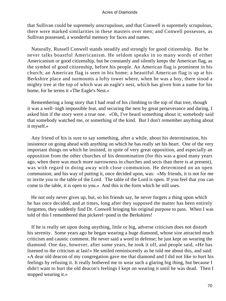that Sullivan could be supremely unscrupulous, and that Conwell is supremely scrupulous, there were marked similarities in these masters over men; and Conwell possesses, as Sullivan possessed, a wonderful memory for faces and names.

 Naturally, Russell Conwell stands steadily and strongly for good citizenship. But he never talks boastful Americanism. He seldom speaks in so many words of either Americanism or good citizenship, but he constantly and silently keeps the American flag, as the symbol of good citizenship, before his people. An American flag is prominent in his church; an American flag is seen in his home; a beautiful American flag is up at his Berkshire place and surmounts a lofty tower where, when he was a boy, there stood a mighty tree at the top of which was an eagle's nest, which has given him a name for his home, for he terms it «The Eagle's Nest.»

 Remembering a long story that I had read of his climbing to the top of that tree, though it was a well−nigh impossible feat, and securing the nest by great perseverance and daring, I asked him if the story were a true one. «Oh, I've heard something about it; somebody said that somebody watched me, or something of the kind. But I don't remember anything about it myself.»

 Any friend of his is sure to say something, after a while, about his determination, his insistence on going ahead with anything on which he has really set his heart. One of the very important things on which he insisted, in spite of very great opposition, and especially an opposition from the other churches of his denomination (for this was a good many years ago, when there was much more narrowness in churches and sects than there is at present), was with regard to doing away with close communion. He determined on an open communion; and his way of putting it, once decided upon, was: «My friends, it is not for me to invite you to the table of the Lord. The table of the Lord is open. If you feel that you can come to the table, it is open to you.» And this is the form which he still uses.

 He not only never gives up, but, so his friends say, he never forgets a thing upon which he has once decided, and at times, long after they supposed the matter has been entirely forgotten, they suddenly find Dr. Conwell bringing his original purpose to pass. When I was told of this I remembered that pickerel−pond in the Berkshires!

 If he is really set upon doing anything, little or big, adverse criticism does not disturb his serenity. Some years ago he began wearing a huge diamond, whose size attracted much criticism and caustic comment. He never said a word in defense; he just kept on wearing the diamond. One day, however, after some years, he took it off, and people said, «He has listened to the criticism at last!» He smiled reminiscently as he told me about this, and said: «A dear old deacon of my congregation gave me that diamond and I did not like to hurt his feelings by refusing it. It really bothered me to wear such a glaring big thing, but because I didn't want to hurt the old deacon's feelings I kept on wearing it until he was dead. Then I stopped wearing it.»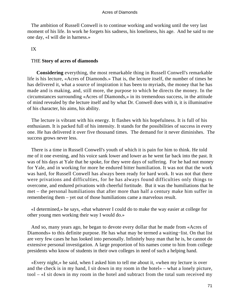The ambition of Russell Conwell is to continue working and working until the very last moment of his life. In work he forgets his sadness, his loneliness, his age. And he said to me one day, «I will die in harness.»

# IX

# THE **Story of acres of diamonds**

**Considering** everything, the most remarkable thing in Russell Conwell's remarkable life is his lecture, «Acres of Diamonds.» That is, the lecture itself, the number of times he has delivered it, what a source of inspiration it has been to myriads, the money that he has made and is making, and, still more, the purpose to which he directs the money. In the circumstances surrounding «Acres of Diamonds,» in its tremendous success, in the attitude of mind revealed by the lecture itself and by what Dr. Conwell does with it, it is illuminative of his character, his aims, his ability.

 The lecture is vibrant with his energy. It flashes with his hopefulness. It is full of his enthusiasm. It is packed full of his intensity. It stands for the possibilities of success in every one. He has delivered it over five thousand times. The demand for it never diminishes. The success grows never less.

 There is a time in Russell Conwell's youth of which it is pain for him to think. He told me of it one evening, and his voice sank lower and lower as he went far back into the past. It was of his days at Yale that he spoke, for they were days of suffering. For he had not money for Yale, and in working for more he endured bitter humiliation. It was not that the work was hard, for Russell Conwell has always been ready for hard work. It was not that there were privations and difficulties, for he has always found difficulties only things to overcome, and endured privations with cheerful fortitude. But it was the humiliations that he met – the personal humiliations that after more than half a century make him suffer in remembering them – yet out of those humiliations came a marvelous result.

 «I determined,» he says, «that whatever I could do to make the way easier at college for other young men working their way I would do.»

 And so, many years ago, he began to devote every dollar that he made from «Acres of Diamonds» to this definite purpose. He has what may be termed a waiting−list. On that list are very few cases he has looked into personally. Infinitely busy man that he is, he cannot do extensive personal investigation. A large proportion of his names come to him from college presidents who know of students in their own colleges in need of such a helping hand.

 «Every night,» he said, when I asked him to tell me about it, «when my lecture is over and the check is in my hand, I sit down in my room in the hotel» – what a lonely picture, tool – «I sit down in my room in the hotel and subtract from the total sum received my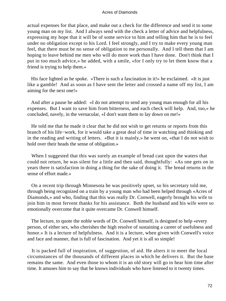actual expenses for that place, and make out a check for the difference and send it to some young man on my list. And I always send with the check a letter of advice and helpfulness, expressing my hope that it will be of some service to him and telling him that he is to feel under no obligation except to his Lord. I feel strongly, and I try to make every young man feel, that there must be no sense of obligation to me personally. And I tell them that I am hoping to leave behind me men who will do more work than I have done. Don't think that I put in too much advice,» he added, with a smile, «for I only try to let them know that a friend is trying to help them.»

 His face lighted as he spoke. «There is such a fascination in it!» he exclaimed. «It is just like a gamble! And as soon as I have sent the letter and crossed a name off my list, I am aiming for the next one!»

 And after a pause he added: «I do not attempt to send any young man enough for all his expenses. But I want to save him from bitterness, and each check will help. And, too,» he concluded, navely, in the vernacular, «I don't want them to lay down on me!»

 He told me that he made it clear that he did not wish to get returns or reports from this branch of his life−work, for it would take a great deal of time in watching and thinking and in the reading and writing of letters. «But it is mainly,» he went on, «that I do not wish to hold over their heads the sense of obligation.»

 When I suggested that this was surely an example of bread cast upon the waters that could not return, he was silent for a little and then said, thoughtfully: «As one gets on in years there is satisfaction in doing a thing for the sake of doing it. The bread returns in the sense of effort made.»

 On a recent trip through Minnesota he was positively upset, so his secretary told me, through being recognized on a train by a young man who had been helped through «Acres of Diamonds,» and who, finding that this was really Dr. Conwell, eagerly brought his wife to join him in most fervent thanks for his assistance. Both the husband and his wife were so emotionally overcome that it quite overcame Dr. Conwell himself.

 The lecture, to quote the noble words of Dr. Conwell himself, is designed to help «every person, of either sex, who cherishes the high resolve of sustaining a career of usefulness and honor.» It is a lecture of helpfulness. And it is a lecture, when given with Conwell's voice and face and manner, that is full of fascination. And yet it is all so simple!

 It is packed full of inspiration, of suggestion, of aid. He alters it to meet the local circumstances of the thousands of different places in which he delivers it. But the base remains the same. And even those to whom it is an old story will go to hear him time after time. It amuses him to say that he knows individuals who have listened to it twenty times.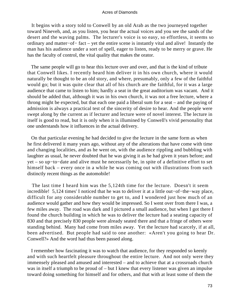It begins with a story told to Conwell by an old Arab as the two journeyed together toward Nineveh, and, as you listen, you hear the actual voices and you see the sands of the desert and the waving palms. The lecturer's voice is so easy, so effortless, it seems so ordinary and matter−of− fact – yet the entire scene is instantly vital and alive! Instantly the man has his audience under a sort of spell, eager to listen, ready to be merry or grave. He has the faculty of control, the vital quality that makes the orator.

 The same people will go to hear this lecture over and over, and that is the kind of tribute that Conwell likes. I recently heard him deliver it in his own church, where it would naturally be thought to be an old story, and where, presumably, only a few of the faithful would go; but it was quite clear that all of his church are the faithful, for it was a large audience that came to listen to him; hardly a seat in the great auditorium was vacant. And it should be added that, although it was in his own church, it was not a free lecture, where a throng might be expected, but that each one paid a liberal sum for a seat – and the paying of admission is always a practical test of the sincerity of desire to hear. And the people were swept along by the current as if lecturer and lecture were of novel interest. The lecture in itself is good to read, but it is only when it is illumined by Conwell's vivid personality that one understands how it influences in the actual delivery.

 On that particular evening he had decided to give the lecture in the same form as when he first delivered it many years ago, without any of the alterations that have come with time and changing localities, and as he went on, with the audience rippling and bubbling with laughter as usual, he never doubted that he was giving it as he had given it years before; and yet – so up−to−date and alive must he necessarily be, in spite of a definitive effort to set himself back – every once in a while he was coming out with illustrations from such distinctly recent things as the automobile!

 The last time I heard him was the 5,124th time for the lecture. Doesn't it seem incredible! 5,124 times' I noticed that he was to deliver it at a little out−of−the−way place, difficult for any considerable number to get to, and I wondered just how much of an audience would gather and how they would be impressed. So I went over from there I was, a few miles away. The road was dark and I pictured a small audience, but when I got there I found the church building in which he was to deliver the lecture had a seating capacity of 830 and that precisely 830 people were already seated there and that a fringe of others were standing behind. Many had come from miles away. Yet the lecture had scarcely, if at all, been advertised. But people had said to one another: «Aren't you going to hear Dr. Conwell?» And the word had thus been passed along.

 I remember how fascinating it was to watch that audience, for they responded so keenly and with such heartfelt pleasure throughout the entire lecture. And not only were they immensely pleased and amused and interested – and to achieve that at a crossroads church was in itself a triumph to be proud of – but I knew that every listener was given an impulse toward doing something for himself and for others, and that with at least some of them the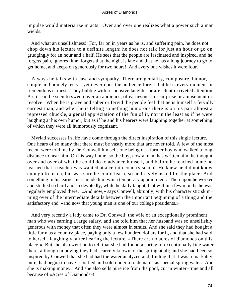impulse would materialize in acts. Over and over one realizes what a power such a man wields.

 And what an unselfishness! For, far on in years as he is, and suffering pain, he does not chop down his lecture to a definite length; he does not talk for just an hour or go on grudgingly for an hour and a half. He sees that the people are fascinated and inspired, and he forgets pain, ignores time, forgets that the night is late and that he has a long journey to go to get home, and keeps on generously for two hours! And every one wishes it were four.

 Always he talks with ease and sympathy. There are geniality, composure, humor, simple and homely jests – yet never does the audience forget that he is every moment in tremendous earnest. They bubble with responsive laughter or are silent in riveted attention. A stir can be seen to sweep over an audience, of earnestness or surprise or amusement or resolve. When he is grave and sober or fervid the people feel that he is himself a fervidly earnest man, and when he is telling something humorous there is on his part almost a repressed chuckle, a genial appreciation of the fun of it, not in the least as if he were laughing at his own humor, but as if he and his hearers were laughing together at something of which they were all humorously cognizant.

 Myriad successes in life have come through the direct inspiration of this single lecture. One hears of so many that there must be vastly more that are never told. A few of the most recent were told me by Dr. Conwell himself, one being of a farmer boy who walked a long distance to hear him. On his way home, so the boy, now a man, has written him, he thought over and over of what he could do to advance himself, and before he reached home he learned that a teacher was wanted at a certain country school. He knew he did not know enough to teach, but was sure he could learn, so he bravely asked for the place. And something in his earnestness made him win a temporary appointment. Thereupon he worked and studied so hard and so devotedly, while he daily taught, that within a few months he was regularly employed there. «And now,» says Conwell, abruptly, with his characteristic skim− ming over of the intermediate details between the important beginning of a thing and the satisfactory end, «and now that young man is one of our college presidents.»

 And very recently a lady came to Dr. Conwell, the wife of an exceptionally prominent man who was earning a large salary, and she told him that her husband was so unselfishly generous with money that often they were almost in straits. And she said they had bought a little farm as a country place, paying only a few hundred dollars for it, and that she had said to herself, laughingly, after hearing the lecture, «There are no acres of diamonds on this place!» But she also went on to tell that she had found a spring of exceptionally fine water there, although in buying they had scarcely known of the spring at all; and she had been so inspired by Conwell that she had had the water analyzed and, finding that it was remarkably pure, had begun to have it bottled and sold under a trade name as special spring water. And she is making money. And she also sells pure ice from the pool, cut in winter−time and all because of «Acres of Diamonds»!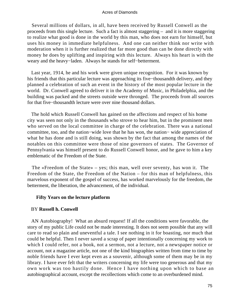Several millions of dollars, in all, have been received by Russell Conwell as the proceeds from this single lecture. Such a fact is almost staggering – and it is more staggering to realize what good is done in the world by this man, who does not earn for himself, but uses his money in immediate helpfulness. And one can neither think nor write with moderation when it is further realized that far more good than can be done directly with money he does by uplifting and inspiring with this lecture. Always his heart is with the weary and the heavy−laden. Always he stands for self−betterment.

 Last year, 1914, he and his work were given unique recognition. For it was known by his friends that this particular lecture was approaching its five−thousandth delivery, and they planned a celebration of such an event in the history of the most popular lecture in the world. Dr. Conwell agreed to deliver it in the Academy of Music, in Philadelphia, and the building was packed and the streets outside were thronged. The proceeds from all sources for that five−thousandth lecture were over nine thousand dollars.

 The hold which Russell Conwell has gained on the affections and respect of his home city was seen not only in the thousands who strove to hear him, but in the prominent men who served on the local committee in charge of the celebration. There was a national committee, too, and the nation−wide love that he has won, the nation− wide appreciation of what he has done and is still doing, was shown by the fact that among the names of the notables on this committee were those of nine governors of states. The Governor of Pennsylvania was himself present to do Russell Conwell honor, and he gave to him a key emblematic of the Freedom of the State.

 The «Freedom of the State» – yes; this man, well over seventy, has won it. The Freedom of the State, the Freedom of the Nation – for this man of helpfulness, this marvelous exponent of the gospel of success, has worked marvelously for the freedom, the betterment, the liberation, the advancement, of the individual.

### **Fifty Years on the lecture platform**

### BY **Russell h. Conwell**

 AN Autobiography! What an absurd request! If all the conditions were favorable, the story of my public Life could not be made interesting. It does not seem possible that any will care to read so plain and uneventful a tale. I see nothing in it for boasting, nor much that could be helpful. Then I never saved a scrap of paper intentionally concerning my work to which I could refer, not a book, not a sermon, not a lecture, not a newspaper notice or account, not a magazine article, not one of the kind biographies written from time to time by noble friends have I ever kept even as a souvenir, although some of them may be in my library. I have ever felt that the writers concerning my life were too generous and that my own work was too hastily done. Hence I have nothing upon which to base an autobiographical account, except the recollections which come to an overburdened mind.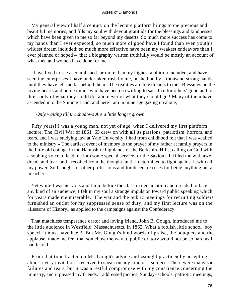My general view of half a century on the lecture platform brings to me precious and beautiful memories, and fills my soul with devout gratitude for the blessings and kindnesses which have been given to me so far beyond my deserts. So much more success has come to my hands than I ever expected; so much more of good have I found than even youth's wildest dream included; so much more effective have been my weakest endeavors than I ever planned or hoped – that a biography written truthfully would be mostly an account of what men and women have done for me.

 I have lived to see accomplished far more than my highest ambition included, and have seen the enterprises I have undertaken rush by me, pushed on by a thousand strong hands until they have left me far behind them. The realities are like dreams to me. Blessings on the loving hearts and noble minds who have been so willing to sacrifice for others' good and to think only of what they could do, and never of what they should get! Many of them have ascended into the Shining Land, and here I am in mine age gazing up alone,

### *Only waiting till the shadows Are a little longer grown*.

 Fifty years! I was a young man, not yet of age, when I delivered my first platform lecture. The Civil War of 1861−65 drew on with all its passions, patriotism, horrors, and fears, and I was studying law at Yale University. I had from childhood felt that I was «called to the ministry.» The earliest event of memory is the prayer of my father at family prayers in the little old cottage in the Hampshire highlands of the Berkshire Hills, calling on God with a sobbing voice to lead me into some special service for the Saviour. It filled me with awe, dread, and fear, and I recoiled from the thought, until I determined to fight against it with all my power. So I sought for other professions and for decent excuses for being anything but a preacher.

 Yet while I was nervous and timid before the class in declamation and dreaded to face any kind of an audience, I felt in my soul a strange impulsion toward public speaking which for years made me miserable. The war and the public meetings for recruiting soldiers furnished an outlet for my suppressed sense of duty, and my first lecture was on the «Lessons of History» as applied to the campaigns against the Confederacy.

 That matchless temperance orator and loving friend, John B. Gough, introduced me to the little audience in Westfield, Massachusetts, in 1862. What a foolish little school−boy speech it must have been! But Mr. Gough's kind words of praise, the bouquets and the applause, made me feel that somehow the way to public oratory would not be so hard as I had feared.

 From that time I acted on Mr. Gough's advice and «sought practice» by accepting almost every invitation I received to speak on any kind of a subject. There were many sad failures and tears, but it was a restful compromise with my conscience concerning the ministry, and it pleased my friends. I addressed picnics, Sunday−schools, patriotic meetings,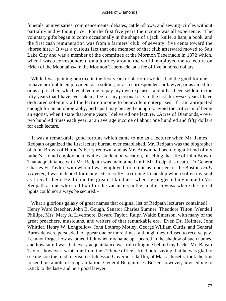funerals, anniversaries, commencements, debates, cattle−shows, and sewing−circles without partiality and without price. For the first five years the income was all experience. Then voluntary gifts began to come occasionally in the shape of a jack−knife, a ham, a book, and the first cash remuneration was from a farmers' club, of seventy−five cents toward the «horse hire.» It was a curious fact that one member of that club afterward moved to Salt Lake City and was a member of the committee at the Mormon Tabernacle in 1872 which, when I was a correspondent, on a journey around the world, employed me to lecture on «Men of the Mountains» in the Mormon Tabernacle, at a fee of five hundred dollars.

While I was gaining practice in the first years of platform work, I had the good fortune to have profitable employment as a soldier, or as a correspondent or lawyer, or as an editor or as a preacher, which enabled me to pay my own expenses, and it has been seldom in the fifty years that I have ever taken a fee for my personal use. In the last thirty−six years I have dedicated solemnly all the lecture income to benevolent enterprises. If I am antiquated enough for an autobiography, perhaps I may be aged enough to avoid the criticism of being an egotist, when I state that some years I delivered one lecture, «Acres of Diamonds,» over two hundred times each year, at an average income of about one hundred and fifty dollars for each lecture.

 It was a remarkable good fortune which came to me as a lecturer when Mr. James Redpath organized the first lecture bureau ever established. Mr. Redpath was the biographer of John Brown of Harper's Ferry renown, and as Mr. Brown had been long a friend of my father's I found employment, while a student on vacation, in selling that life of John Brown. That acquaintance with Mr. Redpath was maintained until Mr. Redpath's death. To General Charles H. Taylor, with whom I was employed for a time as reporter for the Boston *Daily Traveler*, I was indebted for many acts of self−sacrificing friendship which soften my soul as I recall them. He did me the greatest kindness when he suggested my name to Mr. Redpath as one who could «fill in the vacancies in the smaller towns» where the «great lights could not always be secured.»

What a glorious galaxy of great names that original list of Redpath lecturers contained! Henry Ward Beecher, John B. Gough, Senator Charles Sumner, Theodore Tilton, Wendell Phillips, Mrs. Mary A. Livermore, Bayard Taylor, Ralph Waldo Emerson, with many of the great preachers, musicians, and writers of that remarkable era. Even Dr. Holmes, John Whittier, Henry W. Longfellow, John Lothrop Motley, George William Curtis, and General Burnside were persuaded to appear one or more times, although they refused to receive pay. I cannot forget how ashamed I felt when my name ap− peared in the shadow of such names, and how sure I was that every acquaintance was ridiculing me behind my back. Mr. Bayard Taylor, however, wrote me from the *Tribune* office a kind note saying that he was glad to see me «on the road to great usefulness.» Governor Clafflin, of Massachusetts, took the time to send me a note of congratulation. General Benjamin F. Butler, however, advised me to «stick to the last» and be a good lawyer.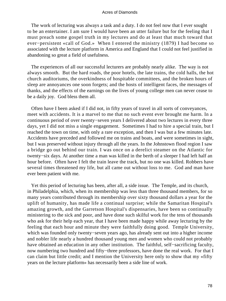The work of lecturing was always a task and a duty. I do not feel now that I ever sought to be an entertainer. I am sure I would have been an utter failure but for the feeling that I must preach some gospel truth in my lectures and do at least that much toward that ever−persistent «call of God.» When I entered the ministry (1879) I had become so associated with the lecture platform in America and England that I could not feel justified in abandoning so great a field of usefulness.

 The experiences of all our successful lecturers are probably nearly alike. The way is not always smooth. But the hard roads, the poor hotels, the late trains, the cold halls, the hot church auditoriums, the overkindness of hospitable committees, and the broken hours of sleep are annoyances one soon forgets; and the hosts of intelligent faces, the messages of thanks, and the effects of the earnings on the lives of young college men can never cease to be a daily joy. God bless them all.

 Often have I been asked if I did not, in fifty years of travel in all sorts of conveyances, meet with accidents. It is a marvel to me that no such event ever brought me harm. In a continuous period of over twenty−seven years I delivered about two lectures in every three days, yet I did not miss a single engagement. Sometimes I had to hire a special train, but I reached the town on time, with only a rare exception, and then I was but a few minutes late. Accidents have preceded and followed me on trains and boats, and were sometimes in sight, but I was preserved without injury through all the years. In the Johnstown flood region I saw a bridge go out behind our train. I was once on a derelict steamer on the Atlantic for twenty−six days. At another time a man was killed in the berth of a sleeper I had left half an hour before. Often have I felt the train leave the track, but no one was killed. Robbers have several times threatened my life, but all came out without loss to me. God and man have ever been patient with me.

 Yet this period of lecturing has been, after all, a side issue. The Temple, and its church, in Philadelphia, which, when its membership was less than three thousand members, for so many years contributed through its membership over sixty thousand dollars a year for the uplift of humanity, has made life a continual surprise; while the Samaritan Hospital's amazing growth, and the Garretson Hospital's dispensaries, have been so continually ministering to the sick and poor, and have done such skilful work for the tens of thousands who ask for their help each year, that I have been made happy while away lecturing by the feeling that each hour and minute they were faithfully doing good. Temple University, which was founded only twenty−seven years ago, has already sent out into a higher income and nobler life nearly a hundred thousand young men and women who could not probably have obtained an education in any other institution. The faithful, self−sacrificing faculty, now numbering two hundred and fifty−three professors, have done the real work. For that I can claim but little credit; and I mention the University here only to show that my «fifty years on the lecture platform» has necessarily been a side line of work.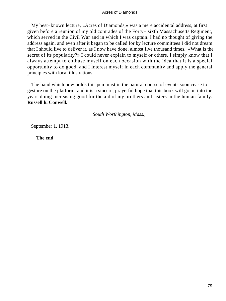My best−known lecture, «Acres of Diamonds,» was a mere accidental address, at first given before a reunion of my old comrades of the Forty− sixth Massachusetts Regiment, which served in the Civil War and in which I was captain. I had no thought of giving the address again, and even after it began to be called for by lecture committees I did not dream that I should live to deliver it, as I now have done, almost five thousand times. «What is the secret of its popularity?» I could never explain to myself or others. I simply know that I always attempt to enthuse myself on each occasion with the idea that it is a special opportunity to do good, and I interest myself in each community and apply the general principles with local illustrations.

 The hand which now holds this pen must in the natural course of events soon cease to gesture on the platform, and it is a sincere, prayerful hope that this book will go on into the years doing increasing good for the aid of my brothers and sisters in the human family. **Russell h. Conwell.**

*South Worthington, Mass.,* 

September 1, 1913.

**The end**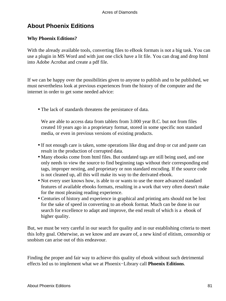# **About Phoenix Editions**

## **Why Phoenix Editions?**

With the already available tools, converting files to eBook formats is not a big task. You can use a plugin in MS Word and with just one click have a lit file. You can drag and drop html into Adobe Acrobat and create a pdf file.

If we can be happy over the possibilities given to anyone to publish and to be published, we must nevertheless look at previous experiences from the history of the computer and the internet in order to get some needed advice:

• The lack of standards threatens the persistance of data.

We are able to access data from tablets from 3.000 year B.C. but not from files created 10 years ago in a proprietary format, stored in some specific non standard media, or even in previous versions of existing products.

- If not enough care is taken, some operations like drag and drop or cut and paste can result in the production of corrupted data.
- Many ebooks come from html files. But outdated tags are still being used, and one only needs to view the source to find beginning tags without their corresponding end tags, improper nesting, and proprietary or non standard encoding. If the source code is not cleaned up, all this will make its way to the derivated ebook.
- Not every user knows how, is able to or wants to use the more advanced standard features of available ebooks formats, resulting in a work that very often doesn't make for the most pleasing reading experience.
- Centuries of history and experience in graphical and printing arts should not be lost for the sake of speed in converting to an ebook format. Much can be done in our search for excellence to adapt and improve, the end result of which is a ebook of higher quality.

But, we must be very careful in our search for quality and in our establishing criteria to meet this lofty goal. Otherwise, as we know and are aware of, a new kind of elitism, censorship or snobism can arise out of this endeavour.

Finding the proper and fair way to achieve this quality of ebook without such detrimental effects led us to implement what we at Phoenix−Library call **Phoenix Editions**.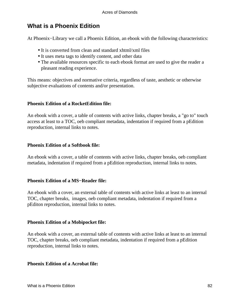# **What is a Phoenix Edition**

At Phoenix−Library we call a Phoenix Edition, an ebook with the following characteristics:

- It is converted from clean and standard xhtml/xml files
- It uses meta tags to identify content, and other data
- The available resources specific to each ebook format are used to give the reader a pleasant reading experience.

This means: objectives and normative criteria, regardless of taste, aesthetic or otherwise subjective evaluations of contents and/or presentation.

## **Phoenix Edition of a RocketEdition file:**

An ebook with a cover, a table of contents with active links, chapter breaks, a "go to" touch access at least to a TOC, oeb compliant metadata, indentation if required from a pEdition reproduction, internal links to notes.

## **Phoenix Edition of a Softbook file:**

An ebook with a cover, a table of contents with active links, chapter breaks, oeb compliant metadata, indentation if required from a pEdition reproduction, internal links to notes.

### **Phoenix Edition of a MS−Reader file:**

An ebook with a cover, an external table of contents with active links at least to an internal TOC, chapter breaks, images, oeb compliant metadata, indentation if required from a pEditon reproduction, internal links to notes.

## **Phoenix Edition of a Mobipocket file:**

An ebook with a cover, an external table of contents with active links at least to an internal TOC, chapter breaks, oeb compliant metadata, indentation if required from a pEdition reproduction, internal links to notes.

### **Phoenix Edition of a Acrobat file:**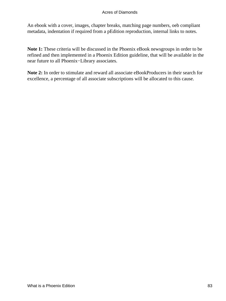An ebook with a cover, images, chapter breaks, matching page numbers, oeb compliant metadata, indentation if required from a pEdition reproduction, internal links to notes.

**Note 1:** These criteria will be discussed in the Phoenix eBook newsgroups in order to be refined and then implemented in a Phoenix Edition guideline, that will be available in the near future to all Phoenix−Library associates.

**Note 2:** In order to stimulate and reward all associate eBookProducers in their search for excellence, a percentage of all associate subscriptions will be allocated to this cause.